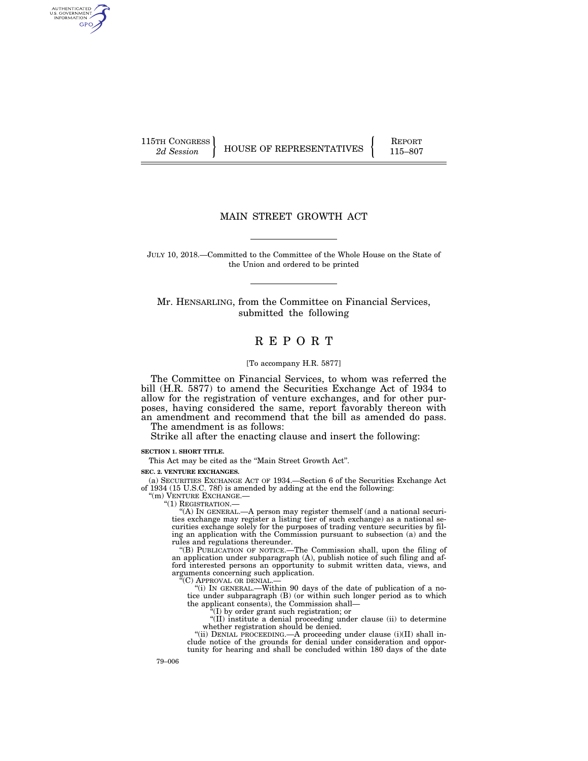AUTHENTICATED<br>U.S. GOVERNMENT<br>INFORMATION GPO

115TH CONGRESS HOUSE OF REPRESENTATIVES FEPORT 115–807

# MAIN STREET GROWTH ACT

JULY 10, 2018.—Committed to the Committee of the Whole House on the State of the Union and ordered to be printed

Mr. HENSARLING, from the Committee on Financial Services, submitted the following

# R E P O R T

# [To accompany H.R. 5877]

The Committee on Financial Services, to whom was referred the bill (H.R. 5877) to amend the Securities Exchange Act of 1934 to allow for the registration of venture exchanges, and for other purposes, having considered the same, report favorably thereon with an amendment and recommend that the bill as amended do pass.

The amendment is as follows:

Strike all after the enacting clause and insert the following:

**SECTION 1. SHORT TITLE.** 

This Act may be cited as the ''Main Street Growth Act''.

**SEC. 2. VENTURE EXCHANGES.** 

(a) SECURITIES EXCHANGE ACT OF 1934.—Section 6 of the Securities Exchange Act of 1934 (15 U.S.C. 78f) is amended by adding at the end the following:

''(m) VENTURE EXCHANGE.—

''(1) REGISTRATION.—

''(A) IN GENERAL.—A person may register themself (and a national securities exchange may register a listing tier of such exchange) as a national securities exchange solely for the purposes of trading venture securities by filing an application with the Commission pursuant to subsection (a) and the rules and regulations thereunder.

''(B) PUBLICATION OF NOTICE.—The Commission shall, upon the filing of an application under subparagraph (A), publish notice of such filing and afford interested persons an opportunity to submit written data, views, and arguments concerning such application.

"(C) APPROVAL OR DENIAL.—

''(i) IN GENERAL.—Within 90 days of the date of publication of a notice under subparagraph (B) (or within such longer period as to which the applicant consents), the Commission shall—

 $\sqrt[2a]{(I)}$  by order grant such registration; or

''(II) institute a denial proceeding under clause (ii) to determine whether registration should be denied.

''(ii) DENIAL PROCEEDING.—A proceeding under clause (i)(II) shall in-clude notice of the grounds for denial under consideration and opportunity for hearing and shall be concluded within 180 days of the date

79–006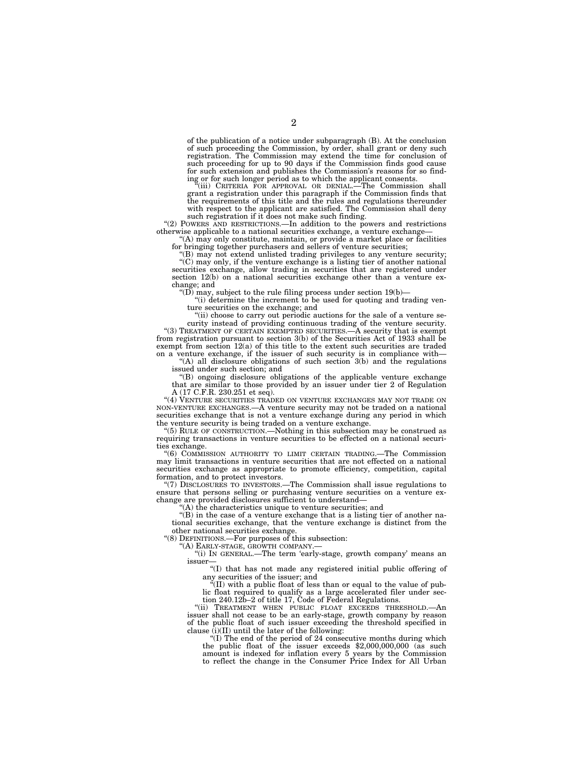of the publication of a notice under subparagraph (B). At the conclusion of such proceeding the Commission, by order, shall grant or deny such registration. The Commission may extend the time for conclusion of such proceeding for up to 90 days if the Commission finds good cause for such extension and publishes the Commission's reasons for so find-

ing or for such longer period as to which the applicant consents. ''(iii) CRITERIA FOR APPROVAL OR DENIAL.—The Commission shall grant a registration under this paragraph if the Commission finds that the requirements of this title and the rules and regulations thereunder with respect to the applicant are satisfied. The Commission shall deny such registration if it does not make such finding.

''(2) POWERS AND RESTRICTIONS.—In addition to the powers and restrictions otherwise applicable to a national securities exchange, a venture exchange—

''(A) may only constitute, maintain, or provide a market place or facilities for bringing together purchasers and sellers of venture securities;

''(B) may not extend unlisted trading privileges to any venture security; ''(C) may only, if the venture exchange is a listing tier of another national securities exchange, allow trading in securities that are registered under section 12(b) on a national securities exchange other than a venture exchange; and

 $\mathrm{H}(D)$  may, subject to the rule filing process under section 19(b)–

"(i) determine the increment to be used for quoting and trading venture securities on the exchange; and

''(ii) choose to carry out periodic auctions for the sale of a venture security instead of providing continuous trading of the venture security. ''(3) TREATMENT OF CERTAIN EXEMPTED SECURITIES.—A security that is exempt from registration pursuant to section 3(b) of the Securities Act of 1933 shall be exempt from section 12(a) of this title to the extent such securities are traded on a venture exchange, if the issuer of such security is in compliance with—

''(A) all disclosure obligations of such section 3(b) and the regulations issued under such section; and

''(B) ongoing disclosure obligations of the applicable venture exchange that are similar to those provided by an issuer under tier 2 of Regulation A (17 C.F.R. 230.251 et seq).

"(4) VENTURE SECURITIES TRADED ON VENTURE EXCHANGES MAY NOT TRADE ON NON-VENTURE EXCHANGES.—A venture security may not be traded on a national securities exchange that is not a venture exchange during any period in which the venture security is being traded on a venture exchange.

''(5) RULE OF CONSTRUCTION.—Nothing in this subsection may be construed as requiring transactions in venture securities to be effected on a national securities exchange.

''(6) COMMISSION AUTHORITY TO LIMIT CERTAIN TRADING.—The Commission may limit transactions in venture securities that are not effected on a national securities exchange as appropriate to promote efficiency, competition, capital formation, and to protect investors.<br>"(7) DISCLOSURES TO INVESTORS.

-The Commission shall issue regulations to ensure that persons selling or purchasing venture securities on a venture exchange are provided disclosures sufficient to understand-

''(A) the characteristics unique to venture securities; and

''(B) in the case of a venture exchange that is a listing tier of another national securities exchange, that the venture exchange is distinct from the other national securities exchange.

''(8) DEFINITIONS.—For purposes of this subsection:

''(A) EARLY-STAGE, GROWTH COMPANY.—

''(i) IN GENERAL.—The term 'early-stage, growth company' means an issuer—

''(I) that has not made any registered initial public offering of any securities of the issuer; and

 $\Gamma(H)$  with a public float of less than or equal to the value of public float required to qualify as a large accelerated filer under section 240.12b–2 of title 17, Code of Federal Regulations.

"(ii) TREATMENT WHEN PUBLIC FLOAT EXCEEDS THRESHOLD. An issuer shall not cease to be an early-stage, growth company by reason of the public float of such issuer exceeding the threshold specified in clause (i)(II) until the later of the following:

" $($ I) The end of the period of 24 consecutive months during which the public float of the issuer exceeds \$2,000,000,000 (as such amount is indexed for inflation every 5 years by the Commission to reflect the change in the Consumer Price Index for All Urban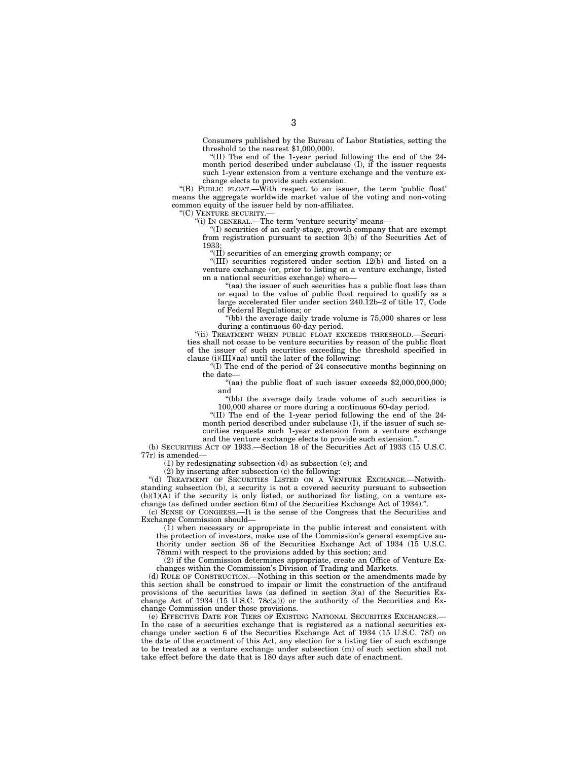Consumers published by the Bureau of Labor Statistics, setting the threshold to the nearest \$1,000,000).

''(II) The end of the 1-year period following the end of the 24 month period described under subclause (I), if the issuer requests such 1-year extension from a venture exchange and the venture exchange elects to provide such extension.

''(B) PUBLIC FLOAT.—With respect to an issuer, the term 'public float' means the aggregate worldwide market value of the voting and non-voting common equity of the issuer held by non-affiliates.

''(C) VENTURE SECURITY.—

"(i) IN GENERAL.—The term 'venture security' means-

''(I) securities of an early-stage, growth company that are exempt from registration pursuant to section 3(b) of the Securities Act of 1933;

" $(II)$  securities of an emerging growth company; or

''(III) securities registered under section 12(b) and listed on a venture exchange (or, prior to listing on a venture exchange, listed on a national securities exchange) where—

"(aa) the issuer of such securities has a public float less than or equal to the value of public float required to qualify as a large accelerated filer under section 240.12b–2 of title 17, Code of Federal Regulations; or

"(bb) the average daily trade volume is 75,000 shares or less during a continuous 60-day period.

"(ii) TREATMENT WHEN PUBLIC FLOAT EXCEEDS THRESHOLD. Securities shall not cease to be venture securities by reason of the public float of the issuer of such securities exceeding the threshold specified in clause (i)(III)(aa) until the later of the following:

''(I) The end of the period of 24 consecutive months beginning on the date—

"(aa) the public float of such issuer exceeds  $$2,000,000,000;$ and

''(bb) the average daily trade volume of such securities is 100,000 shares or more during a continuous 60-day period.

"(II) The end of the 1-year period following the end of the  $24$ month period described under subclause (I), if the issuer of such securities requests such 1-year extension from a venture exchange

and the venture exchange elects to provide such extension. (b) SECURITIES ACT OF 1933.—Section 18 of the Securities Act of 1933 (15 U.S.C.

77r) is amended—

(1) by redesignating subsection (d) as subsection (e); and

(2) by inserting after subsection (c) the following:

''(d) TREATMENT OF SECURITIES LISTED ON A VENTURE EXCHANGE.—Notwithstanding subsection (b), a security is not a covered security pursuant to subsection  $(b)(1)(A)$  if the security is only listed, or authorized for listing, on a venture exchange (as defined under section  $6(m)$  of the Securities Exchange Act of 1934).".

(c) SENSE OF CONGRESS.—It is the sense of the Congress that the Securities and Exchange Commission should—

(1) when necessary or appropriate in the public interest and consistent with the protection of investors, make use of the Commission's general exemptive authority under section 36 of the Securities Exchange Act of 1934 (15 U.S.C. 78mm) with respect to the provisions added by this section; and

(2) if the Commission determines appropriate, create an Office of Venture Exchanges within the Commission's Division of Trading and Markets.

(d) RULE OF CONSTRUCTION.—Nothing in this section or the amendments made by this section shall be construed to impair or limit the construction of the antifraud provisions of the securities laws (as defined in section 3(a) of the Securities Exchange Act of 1934 (15 U.S.C.  $78c(a)$ )) or the authority of the Securities and Exchange Commission under those provisions.

(e) EFFECTIVE DATE FOR TIERS OF EXISTING NATIONAL SECURITIES EXCHANGES.— In the case of a securities exchange that is registered as a national securities exchange under section 6 of the Securities Exchange Act of 1934 (15 U.S.C. 78f) on the date of the enactment of this Act, any election for a listing tier of such exchange to be treated as a venture exchange under subsection (m) of such section shall not take effect before the date that is 180 days after such date of enactment.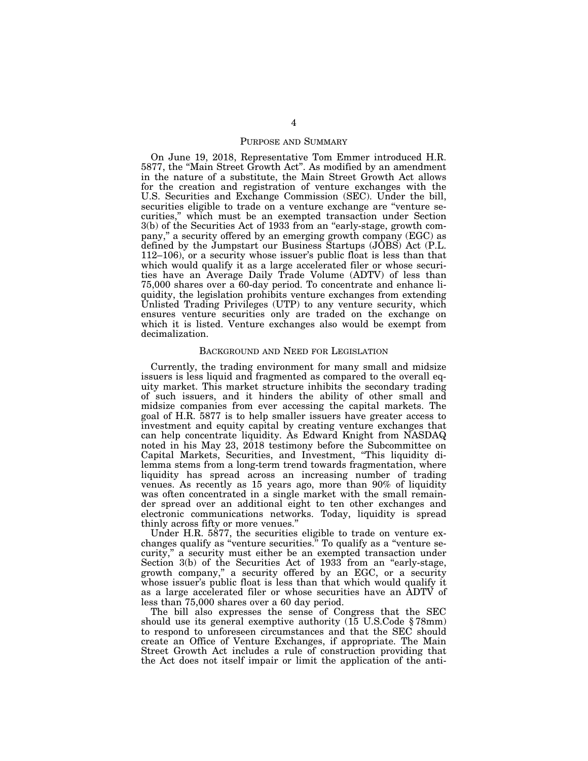# PURPOSE AND SUMMARY

On June 19, 2018, Representative Tom Emmer introduced H.R. 5877, the ''Main Street Growth Act''. As modified by an amendment in the nature of a substitute, the Main Street Growth Act allows for the creation and registration of venture exchanges with the U.S. Securities and Exchange Commission (SEC). Under the bill, securities eligible to trade on a venture exchange are "venture securities,'' which must be an exempted transaction under Section 3(b) of the Securities Act of 1933 from an ''early-stage, growth company,'' a security offered by an emerging growth company (EGC) as defined by the Jumpstart our Business Startups (JOBS) Act (P.L. 112–106), or a security whose issuer's public float is less than that which would qualify it as a large accelerated filer or whose securities have an Average Daily Trade Volume (ADTV) of less than 75,000 shares over a 60-day period. To concentrate and enhance liquidity, the legislation prohibits venture exchanges from extending Unlisted Trading Privileges (UTP) to any venture security, which ensures venture securities only are traded on the exchange on which it is listed. Venture exchanges also would be exempt from decimalization.

### BACKGROUND AND NEED FOR LEGISLATION

Currently, the trading environment for many small and midsize issuers is less liquid and fragmented as compared to the overall equity market. This market structure inhibits the secondary trading of such issuers, and it hinders the ability of other small and midsize companies from ever accessing the capital markets. The goal of H.R. 5877 is to help smaller issuers have greater access to investment and equity capital by creating venture exchanges that can help concentrate liquidity. As Edward Knight from NASDAQ noted in his May 23, 2018 testimony before the Subcommittee on Capital Markets, Securities, and Investment, ''This liquidity dilemma stems from a long-term trend towards fragmentation, where liquidity has spread across an increasing number of trading venues. As recently as 15 years ago, more than 90% of liquidity was often concentrated in a single market with the small remainder spread over an additional eight to ten other exchanges and electronic communications networks. Today, liquidity is spread thinly across fifty or more venues.''

Under H.R. 5877, the securities eligible to trade on venture exchanges qualify as ''venture securities.'' To qualify as a ''venture security," a security must either be an exempted transaction under Section 3(b) of the Securities Act of 1933 from an ''early-stage, growth company,'' a security offered by an EGC, or a security whose issuer's public float is less than that which would qualify it as a large accelerated filer or whose securities have an ADTV of less than 75,000 shares over a 60 day period.

The bill also expresses the sense of Congress that the SEC should use its general exemptive authority (15 U.S.Code § 78mm) to respond to unforeseen circumstances and that the SEC should create an Office of Venture Exchanges, if appropriate. The Main Street Growth Act includes a rule of construction providing that the Act does not itself impair or limit the application of the anti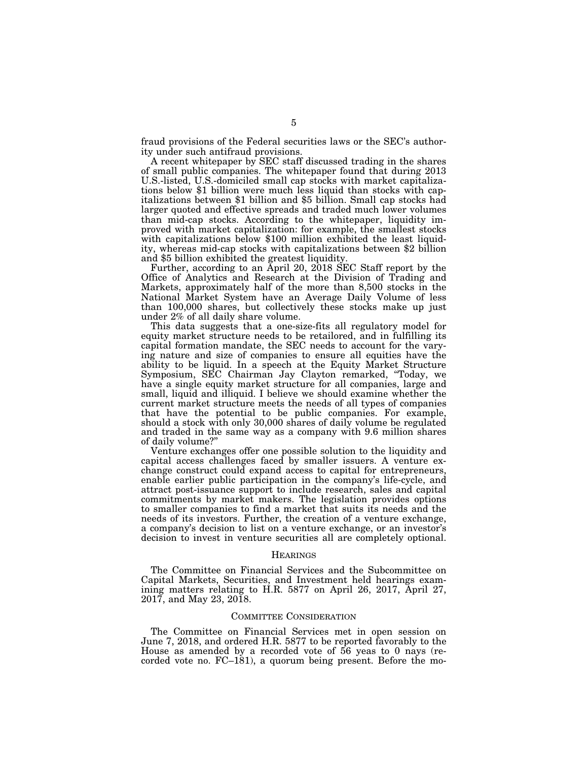fraud provisions of the Federal securities laws or the SEC's authority under such antifraud provisions.

A recent whitepaper by SEC staff discussed trading in the shares of small public companies. The whitepaper found that during 2013 U.S.-listed, U.S.-domiciled small cap stocks with market capitalizations below \$1 billion were much less liquid than stocks with capitalizations between \$1 billion and \$5 billion. Small cap stocks had larger quoted and effective spreads and traded much lower volumes than mid-cap stocks. According to the whitepaper, liquidity improved with market capitalization: for example, the smallest stocks with capitalizations below \$100 million exhibited the least liquidity, whereas mid-cap stocks with capitalizations between \$2 billion and \$5 billion exhibited the greatest liquidity.

Further, according to an April 20, 2018 SEC Staff report by the Office of Analytics and Research at the Division of Trading and Markets, approximately half of the more than 8,500 stocks in the National Market System have an Average Daily Volume of less than 100,000 shares, but collectively these stocks make up just under 2% of all daily share volume.

This data suggests that a one-size-fits all regulatory model for equity market structure needs to be retailored, and in fulfilling its capital formation mandate, the SEC needs to account for the varying nature and size of companies to ensure all equities have the ability to be liquid. In a speech at the Equity Market Structure Symposium, SEC Chairman Jay Clayton remarked, ''Today, we have a single equity market structure for all companies, large and small, liquid and illiquid. I believe we should examine whether the current market structure meets the needs of all types of companies that have the potential to be public companies. For example, should a stock with only 30,000 shares of daily volume be regulated and traded in the same way as a company with 9.6 million shares of daily volume?''

Venture exchanges offer one possible solution to the liquidity and capital access challenges faced by smaller issuers. A venture exchange construct could expand access to capital for entrepreneurs, enable earlier public participation in the company's life-cycle, and attract post-issuance support to include research, sales and capital commitments by market makers. The legislation provides options to smaller companies to find a market that suits its needs and the needs of its investors. Further, the creation of a venture exchange, a company's decision to list on a venture exchange, or an investor's decision to invest in venture securities all are completely optional.

# **HEARINGS**

The Committee on Financial Services and the Subcommittee on Capital Markets, Securities, and Investment held hearings examining matters relating to H.R. 5877 on April 26, 2017, April 27, 2017, and May 23, 2018.

### COMMITTEE CONSIDERATION

The Committee on Financial Services met in open session on June 7, 2018, and ordered H.R. 5877 to be reported favorably to the House as amended by a recorded vote of 56 yeas to 0 nays (recorded vote no. FC–181), a quorum being present. Before the mo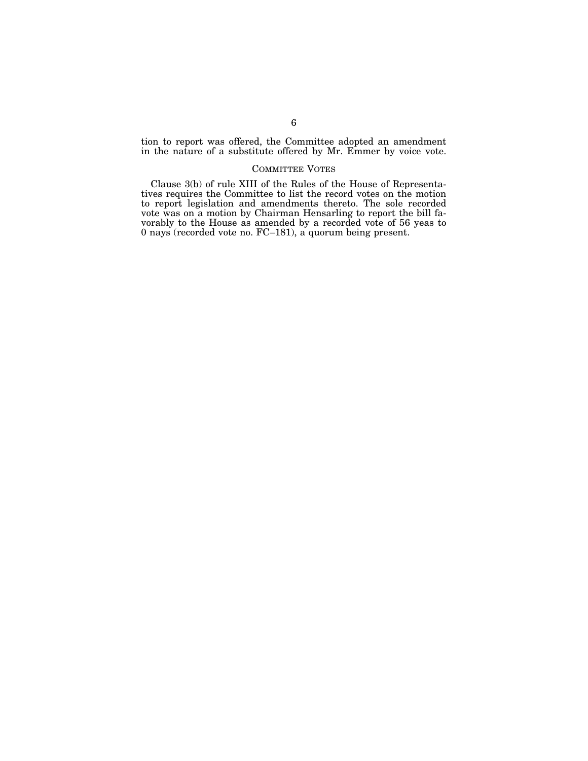tion to report was offered, the Committee adopted an amendment in the nature of a substitute offered by Mr. Emmer by voice vote.

# COMMITTEE VOTES

Clause 3(b) of rule XIII of the Rules of the House of Representatives requires the Committee to list the record votes on the motion to report legislation and amendments thereto. The sole recorded vote was on a motion by Chairman Hensarling to report the bill favorably to the House as amended by a recorded vote of 56 yeas to 0 nays (recorded vote no. FC–181), a quorum being present.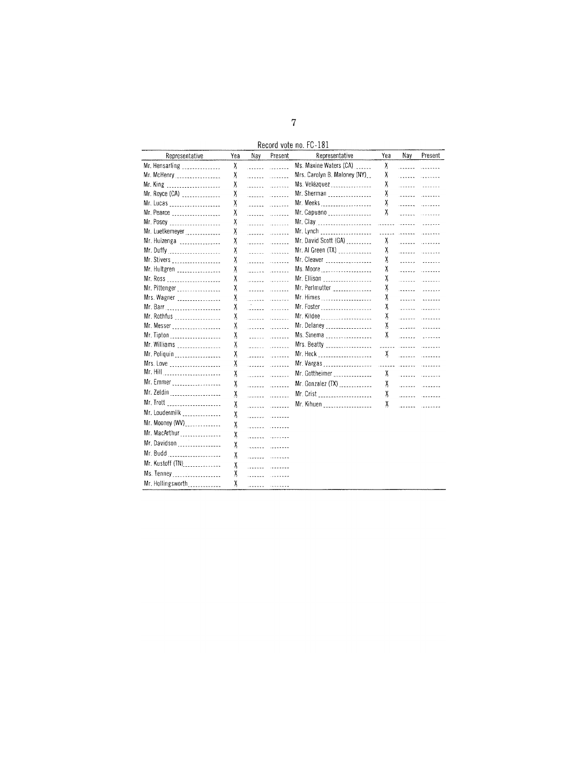Record vote no. FC-181

| Representative                             | Yea | Nav | Present                                                                                                                                                                                                                       | Representative                  | Yea | Nay                               | Present                        |
|--------------------------------------------|-----|-----|-------------------------------------------------------------------------------------------------------------------------------------------------------------------------------------------------------------------------------|---------------------------------|-----|-----------------------------------|--------------------------------|
| Mr. Hensarling                             | X   |     | .                                                                                                                                                                                                                             | Ms. Maxine Waters (CA)          | χ   |                                   | .                              |
| Mr. McHenry                                | χ   |     | and the control of the state of                                                                                                                                                                                               | Mrs. Carolyn B. Maloney (NY)    | X   |                                   | and the company of the company |
| Mr. King                                   | X   |     | .                                                                                                                                                                                                                             | Ms. Velázquez                   | χ   |                                   | <b>Separator Construction</b>  |
| Mr. Royce (CA)                             | χ   |     | .                                                                                                                                                                                                                             | Mr. Sherman                     | X   |                                   | $\frac{1}{2}$                  |
| Mr. Lucas                                  | χ   |     | <b>Service Construction</b>                                                                                                                                                                                                   | Mr. Meeks                       | χ   |                                   | .                              |
| Mr. Pearce                                 | χ   |     | <u>.</u>                                                                                                                                                                                                                      | Mr. Capuano                     | χ   |                                   |                                |
| Mr. Posey                                  | χ   |     | .                                                                                                                                                                                                                             | Mr. Clay                        |     |                                   |                                |
| Mr. Luetkemeyer                            | X   |     | .                                                                                                                                                                                                                             | Mr. Lynch $\frac{1}{2}$         |     |                                   |                                |
| Mr. Huizenga                               | X   |     | <b>Second Concert</b>                                                                                                                                                                                                         | Mr. David Scott (GA)            | X   |                                   | .                              |
| Mr. Duffy                                  | χ   |     |                                                                                                                                                                                                                               | Mr. Al Green (TX) _____________ | χ   |                                   |                                |
| Mr. Stivers                                | X   |     | and a construction of the construction of the construction of the construction of the construction of the construction of the construction of the construction of the construction of the construction of the construction of | Mr. Cleaver                     | χ   |                                   |                                |
| Mr. Hultgren                               |     |     |                                                                                                                                                                                                                               | Ms. Moore                       | χ   |                                   |                                |
| Mr. Ross                                   |     |     | and the company of the company of                                                                                                                                                                                             | Mr. Ellison                     | χ   |                                   |                                |
| Mr. Pittenger                              |     |     | <b>Service State</b>                                                                                                                                                                                                          | Mr. Perlmutter                  | X   |                                   |                                |
| Mrs. Wagner                                | X   |     | a de la construcción                                                                                                                                                                                                          | Mr. Himes                       | X   | <b>Sales Card</b>                 |                                |
| Mr. Barr                                   | X   |     |                                                                                                                                                                                                                               | Mr. Foster                      | X   |                                   |                                |
| Mr. Rothfus                                | X   |     | and a state of the state of the                                                                                                                                                                                               | Mr. Kildee                      | χ   |                                   |                                |
| Mr. Messer                                 | χ   |     | <b>Service Construction</b>                                                                                                                                                                                                   | Mr. Delaney                     | χ   | and the company of the company of |                                |
| Mr. Tipton                                 | X   |     | .                                                                                                                                                                                                                             | Ms. Sinema                      | χ   |                                   | <b>Madage Constant</b>         |
| Mr. Williams                               | χ   |     | .                                                                                                                                                                                                                             | Mrs. Beatty __________________  |     |                                   |                                |
| Mr. Poliquin                               | X   |     | and control and control                                                                                                                                                                                                       | Mr. Heck                        | x   |                                   |                                |
| Mrs. Love                                  | χ   |     | <b>Contractor</b>                                                                                                                                                                                                             | Mr. Vargas                      |     |                                   |                                |
| Mr. Hill                                   | χ   |     |                                                                                                                                                                                                                               | Mr. Gottheimer                  | X   |                                   | <b>Separator Concerna</b>      |
| Mr. Emmer                                  | χ   |     |                                                                                                                                                                                                                               | Mr. Gonzalez (TX)               | χ   |                                   | .                              |
| Mr. Zeldin                                 | χ   |     | <u> Albania de la contra de la c</u>                                                                                                                                                                                          | Mr. Crist                       | X   |                                   | .                              |
| Mr. Trott                                  | X   |     |                                                                                                                                                                                                                               | Mr. Kihuen                      | Χ   |                                   |                                |
| Mr. Loudermilk                             |     |     | <u>.</u>                                                                                                                                                                                                                      |                                 |     |                                   | .                              |
| Mr. Mooney (WV)_____________               | χ   |     | .                                                                                                                                                                                                                             |                                 |     |                                   |                                |
|                                            | χ   |     | .                                                                                                                                                                                                                             |                                 |     |                                   |                                |
| Mr. MacArthur                              | χ   |     | and the state of the state                                                                                                                                                                                                    |                                 |     |                                   |                                |
| Mr. Davidson                               | χ   |     | and a state of the state of the                                                                                                                                                                                               |                                 |     |                                   |                                |
| Mr. Budd                                   | χ   |     |                                                                                                                                                                                                                               |                                 |     |                                   |                                |
| Mr. Kustoff (TN)                           | X   |     | .                                                                                                                                                                                                                             |                                 |     |                                   |                                |
| $Ms.$ Tenney $\ldots \ldots \ldots \ldots$ | χ   |     | .                                                                                                                                                                                                                             |                                 |     |                                   |                                |
| Mr. Hollingsworth                          | χ   |     | .                                                                                                                                                                                                                             |                                 |     |                                   |                                |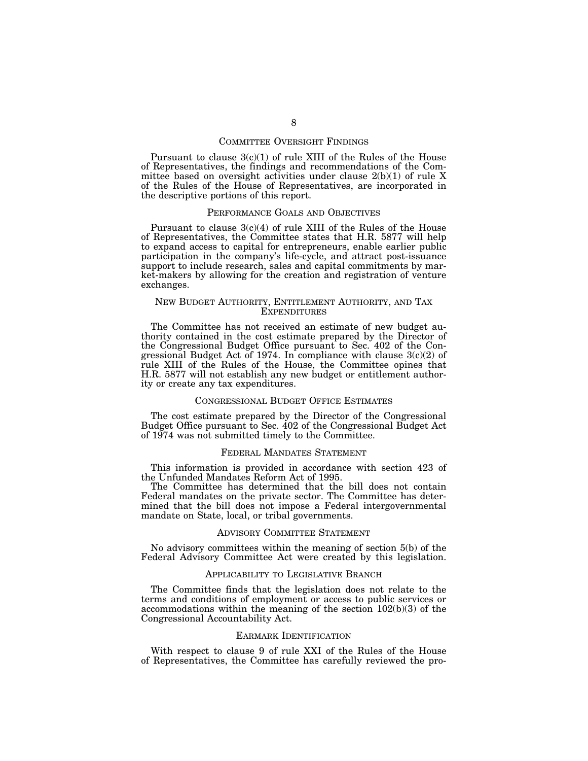#### COMMITTEE OVERSIGHT FINDINGS

Pursuant to clause  $3(c)(1)$  of rule XIII of the Rules of the House of Representatives, the findings and recommendations of the Committee based on oversight activities under clause 2(b)(1) of rule X of the Rules of the House of Representatives, are incorporated in the descriptive portions of this report.

## PERFORMANCE GOALS AND OBJECTIVES

Pursuant to clause  $3(c)(4)$  of rule XIII of the Rules of the House of Representatives, the Committee states that H.R. 5877 will help to expand access to capital for entrepreneurs, enable earlier public participation in the company's life-cycle, and attract post-issuance support to include research, sales and capital commitments by market-makers by allowing for the creation and registration of venture exchanges.

# NEW BUDGET AUTHORITY, ENTITLEMENT AUTHORITY, AND TAX **EXPENDITURES**

The Committee has not received an estimate of new budget authority contained in the cost estimate prepared by the Director of the Congressional Budget Office pursuant to Sec. 402 of the Congressional Budget Act of 1974. In compliance with clause  $3(c)(2)$  of rule XIII of the Rules of the House, the Committee opines that H.R. 5877 will not establish any new budget or entitlement authority or create any tax expenditures.

# CONGRESSIONAL BUDGET OFFICE ESTIMATES

The cost estimate prepared by the Director of the Congressional Budget Office pursuant to Sec. 402 of the Congressional Budget Act of 1974 was not submitted timely to the Committee.

### FEDERAL MANDATES STATEMENT

This information is provided in accordance with section 423 of the Unfunded Mandates Reform Act of 1995.

The Committee has determined that the bill does not contain Federal mandates on the private sector. The Committee has determined that the bill does not impose a Federal intergovernmental mandate on State, local, or tribal governments.

#### ADVISORY COMMITTEE STATEMENT

No advisory committees within the meaning of section 5(b) of the Federal Advisory Committee Act were created by this legislation.

## APPLICABILITY TO LEGISLATIVE BRANCH

The Committee finds that the legislation does not relate to the terms and conditions of employment or access to public services or accommodations within the meaning of the section 102(b)(3) of the Congressional Accountability Act.

#### EARMARK IDENTIFICATION

With respect to clause 9 of rule XXI of the Rules of the House of Representatives, the Committee has carefully reviewed the pro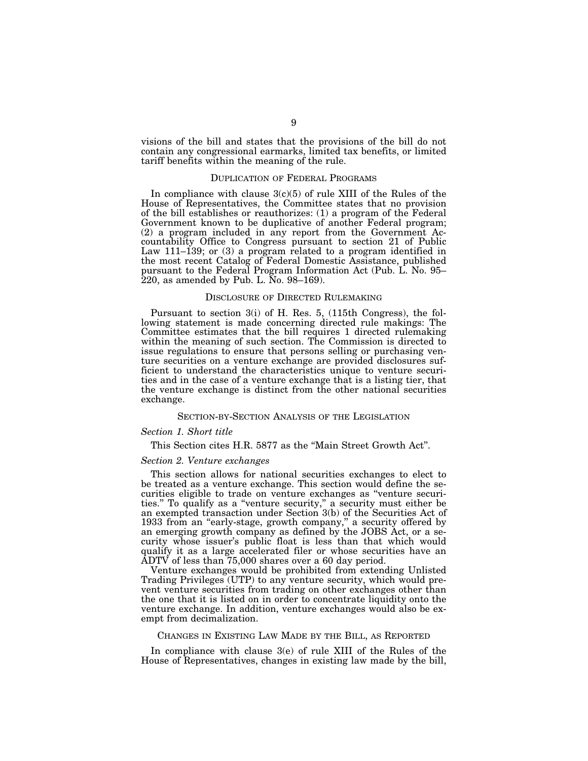visions of the bill and states that the provisions of the bill do not contain any congressional earmarks, limited tax benefits, or limited tariff benefits within the meaning of the rule.

# DUPLICATION OF FEDERAL PROGRAMS

In compliance with clause  $3(c)(5)$  of rule XIII of the Rules of the House of Representatives, the Committee states that no provision of the bill establishes or reauthorizes: (1) a program of the Federal Government known to be duplicative of another Federal program; (2) a program included in any report from the Government Accountability Office to Congress pursuant to section 21 of Public Law 111–139; or (3) a program related to a program identified in the most recent Catalog of Federal Domestic Assistance, published pursuant to the Federal Program Information Act (Pub. L. No. 95– 220, as amended by Pub. L. No. 98–169).

#### DISCLOSURE OF DIRECTED RULEMAKING

Pursuant to section 3(i) of H. Res. 5, (115th Congress), the following statement is made concerning directed rule makings: The Committee estimates that the bill requires 1 directed rulemaking within the meaning of such section. The Commission is directed to issue regulations to ensure that persons selling or purchasing venture securities on a venture exchange are provided disclosures sufficient to understand the characteristics unique to venture securities and in the case of a venture exchange that is a listing tier, that the venture exchange is distinct from the other national securities exchange.

# SECTION-BY-SECTION ANALYSIS OF THE LEGISLATION

## *Section 1. Short title*

This Section cites H.R. 5877 as the "Main Street Growth Act".

#### *Section 2. Venture exchanges*

This section allows for national securities exchanges to elect to be treated as a venture exchange. This section would define the securities eligible to trade on venture exchanges as ''venture securities.'' To qualify as a ''venture security,'' a security must either be an exempted transaction under Section 3(b) of the Securities Act of 1933 from an "early-stage, growth company," a security offered by an emerging growth company as defined by the JOBS Act, or a security whose issuer's public float is less than that which would qualify it as a large accelerated filer or whose securities have an ADTV of less than 75,000 shares over a 60 day period.

Venture exchanges would be prohibited from extending Unlisted Trading Privileges (UTP) to any venture security, which would prevent venture securities from trading on other exchanges other than the one that it is listed on in order to concentrate liquidity onto the venture exchange. In addition, venture exchanges would also be exempt from decimalization.

#### CHANGES IN EXISTING LAW MADE BY THE BILL, AS REPORTED

In compliance with clause 3(e) of rule XIII of the Rules of the House of Representatives, changes in existing law made by the bill,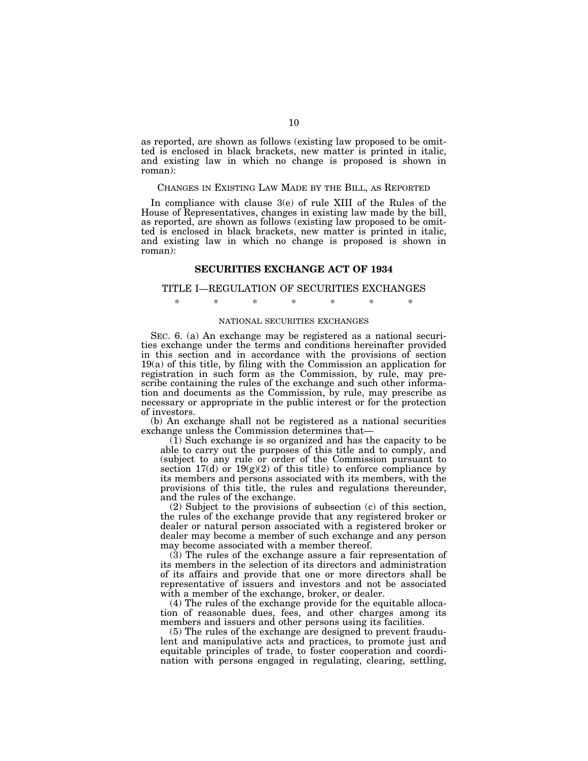as reported, are shown as follows (existing law proposed to be omitted is enclosed in black brackets, new matter is printed in italic, and existing law in which no change is proposed is shown in roman):

# CHANGES IN EXISTING LAW MADE BY THE BILL, AS REPORTED

In compliance with clause 3(e) of rule XIII of the Rules of the House of Representatives, changes in existing law made by the bill, as reported, are shown as follows (existing law proposed to be omitted is enclosed in black brackets, new matter is printed in italic, and existing law in which no change is proposed is shown in roman):

# **SECURITIES EXCHANGE ACT OF 1934**

# TITLE I—REGULATION OF SECURITIES EXCHANGES

\* \* \* \* \* \* \*

# NATIONAL SECURITIES EXCHANGES

SEC. 6. (a) An exchange may be registered as a national securities exchange under the terms and conditions hereinafter provided in this section and in accordance with the provisions of section 19(a) of this title, by filing with the Commission an application for registration in such form as the Commission, by rule, may prescribe containing the rules of the exchange and such other information and documents as the Commission, by rule, may prescribe as necessary or appropriate in the public interest or for the protection of investors.

(b) An exchange shall not be registered as a national securities exchange unless the Commission determines that—

(1) Such exchange is so organized and has the capacity to be able to carry out the purposes of this title and to comply, and (subject to any rule or order of the Commission pursuant to section 17(d) or  $19(g)(2)$  of this title) to enforce compliance by its members and persons associated with its members, with the provisions of this title, the rules and regulations thereunder, and the rules of the exchange.

(2) Subject to the provisions of subsection (c) of this section, the rules of the exchange provide that any registered broker or dealer or natural person associated with a registered broker or dealer may become a member of such exchange and any person may become associated with a member thereof.

(3) The rules of the exchange assure a fair representation of its members in the selection of its directors and administration of its affairs and provide that one or more directors shall be representative of issuers and investors and not be associated with a member of the exchange, broker, or dealer.

(4) The rules of the exchange provide for the equitable allocation of reasonable dues, fees, and other charges among its members and issuers and other persons using its facilities.

(5) The rules of the exchange are designed to prevent fraudulent and manipulative acts and practices, to promote just and equitable principles of trade, to foster cooperation and coordination with persons engaged in regulating, clearing, settling,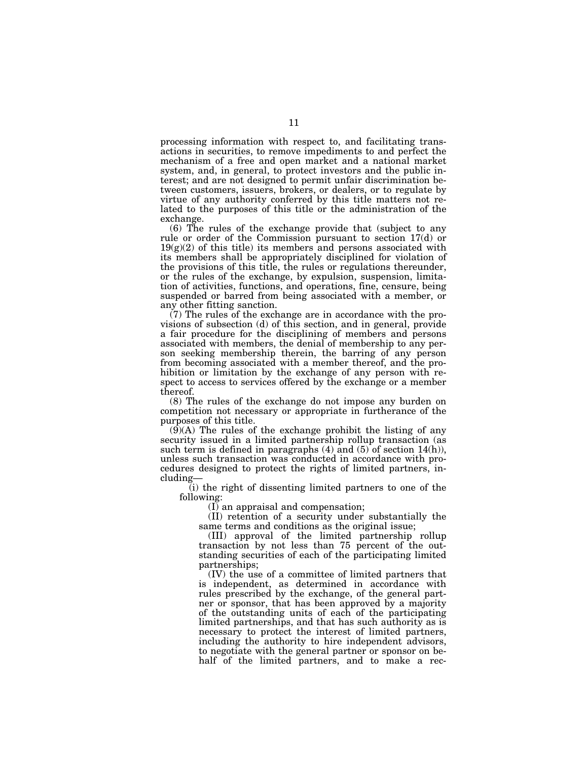processing information with respect to, and facilitating transactions in securities, to remove impediments to and perfect the mechanism of a free and open market and a national market system, and, in general, to protect investors and the public interest; and are not designed to permit unfair discrimination between customers, issuers, brokers, or dealers, or to regulate by virtue of any authority conferred by this title matters not related to the purposes of this title or the administration of the exchange.

(6) The rules of the exchange provide that (subject to any rule or order of the Commission pursuant to section 17(d) or  $19(g)(2)$  of this title) its members and persons associated with its members shall be appropriately disciplined for violation of the provisions of this title, the rules or regulations thereunder, or the rules of the exchange, by expulsion, suspension, limitation of activities, functions, and operations, fine, censure, being suspended or barred from being associated with a member, or any other fitting sanction.

(7) The rules of the exchange are in accordance with the provisions of subsection (d) of this section, and in general, provide a fair procedure for the disciplining of members and persons associated with members, the denial of membership to any person seeking membership therein, the barring of any person from becoming associated with a member thereof, and the prohibition or limitation by the exchange of any person with respect to access to services offered by the exchange or a member thereof.

(8) The rules of the exchange do not impose any burden on competition not necessary or appropriate in furtherance of the purposes of this title.

 $(9)(A)$  The rules of the exchange prohibit the listing of any security issued in a limited partnership rollup transaction (as such term is defined in paragraphs  $(4)$  and  $(5)$  of section 14 $(h)$ ), unless such transaction was conducted in accordance with procedures designed to protect the rights of limited partners, including—

 $\tilde{p}$  (i) the right of dissenting limited partners to one of the following:

(I) an appraisal and compensation;

(II) retention of a security under substantially the same terms and conditions as the original issue;

(III) approval of the limited partnership rollup transaction by not less than 75 percent of the outstanding securities of each of the participating limited partnerships;

(IV) the use of a committee of limited partners that is independent, as determined in accordance with rules prescribed by the exchange, of the general partner or sponsor, that has been approved by a majority of the outstanding units of each of the participating limited partnerships, and that has such authority as is necessary to protect the interest of limited partners, including the authority to hire independent advisors, to negotiate with the general partner or sponsor on behalf of the limited partners, and to make a rec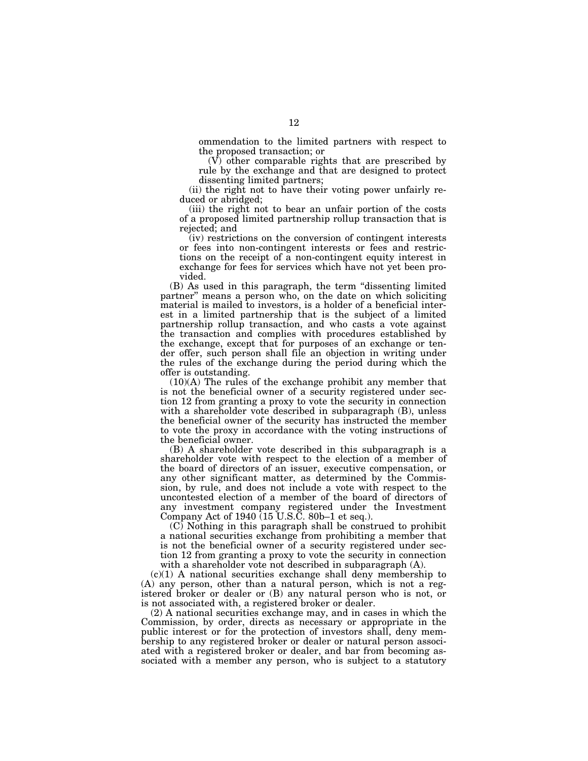ommendation to the limited partners with respect to the proposed transaction; or

(V) other comparable rights that are prescribed by rule by the exchange and that are designed to protect dissenting limited partners;

(ii) the right not to have their voting power unfairly reduced or abridged;

(iii) the right not to bear an unfair portion of the costs of a proposed limited partnership rollup transaction that is rejected; and

(iv) restrictions on the conversion of contingent interests or fees into non-contingent interests or fees and restrictions on the receipt of a non-contingent equity interest in exchange for fees for services which have not yet been provided.

(B) As used in this paragraph, the term ''dissenting limited partner'' means a person who, on the date on which soliciting material is mailed to investors, is a holder of a beneficial interest in a limited partnership that is the subject of a limited partnership rollup transaction, and who casts a vote against the transaction and complies with procedures established by the exchange, except that for purposes of an exchange or tender offer, such person shall file an objection in writing under the rules of the exchange during the period during which the offer is outstanding.

(10)(A) The rules of the exchange prohibit any member that is not the beneficial owner of a security registered under section 12 from granting a proxy to vote the security in connection with a shareholder vote described in subparagraph (B), unless the beneficial owner of the security has instructed the member to vote the proxy in accordance with the voting instructions of the beneficial owner.

(B) A shareholder vote described in this subparagraph is a shareholder vote with respect to the election of a member of the board of directors of an issuer, executive compensation, or any other significant matter, as determined by the Commission, by rule, and does not include a vote with respect to the uncontested election of a member of the board of directors of any investment company registered under the Investment Company Act of 1940 (15 U.S.C. 80b–1 et seq.).

(C) Nothing in this paragraph shall be construed to prohibit a national securities exchange from prohibiting a member that is not the beneficial owner of a security registered under section 12 from granting a proxy to vote the security in connection with a shareholder vote not described in subparagraph (A).

 $(c)(1)$  A national securities exchange shall deny membership to (A) any person, other than a natural person, which is not a registered broker or dealer or (B) any natural person who is not, or is not associated with, a registered broker or dealer.

(2) A national securities exchange may, and in cases in which the Commission, by order, directs as necessary or appropriate in the public interest or for the protection of investors shall, deny membership to any registered broker or dealer or natural person associated with a registered broker or dealer, and bar from becoming associated with a member any person, who is subject to a statutory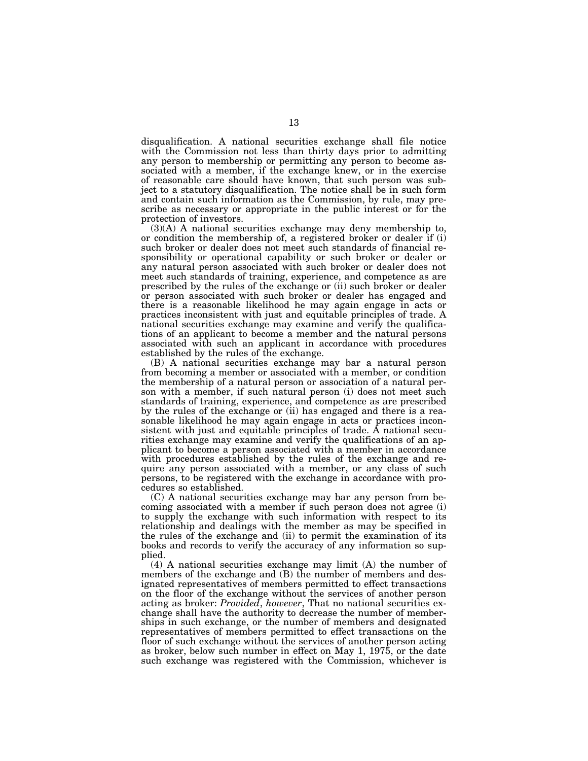disqualification. A national securities exchange shall file notice with the Commission not less than thirty days prior to admitting any person to membership or permitting any person to become associated with a member, if the exchange knew, or in the exercise of reasonable care should have known, that such person was subject to a statutory disqualification. The notice shall be in such form and contain such information as the Commission, by rule, may prescribe as necessary or appropriate in the public interest or for the protection of investors.

(3)(A) A national securities exchange may deny membership to, or condition the membership of, a registered broker or dealer if (i) such broker or dealer does not meet such standards of financial responsibility or operational capability or such broker or dealer or any natural person associated with such broker or dealer does not meet such standards of training, experience, and competence as are prescribed by the rules of the exchange or (ii) such broker or dealer or person associated with such broker or dealer has engaged and there is a reasonable likelihood he may again engage in acts or practices inconsistent with just and equitable principles of trade. A national securities exchange may examine and verify the qualifications of an applicant to become a member and the natural persons associated with such an applicant in accordance with procedures established by the rules of the exchange.

(B) A national securities exchange may bar a natural person from becoming a member or associated with a member, or condition the membership of a natural person or association of a natural person with a member, if such natural person (i) does not meet such standards of training, experience, and competence as are prescribed by the rules of the exchange or (ii) has engaged and there is a reasonable likelihood he may again engage in acts or practices inconsistent with just and equitable principles of trade. A national securities exchange may examine and verify the qualifications of an applicant to become a person associated with a member in accordance with procedures established by the rules of the exchange and require any person associated with a member, or any class of such persons, to be registered with the exchange in accordance with procedures so established.

(C) A national securities exchange may bar any person from becoming associated with a member if such person does not agree (i) to supply the exchange with such information with respect to its relationship and dealings with the member as may be specified in the rules of the exchange and (ii) to permit the examination of its books and records to verify the accuracy of any information so supplied.

(4) A national securities exchange may limit (A) the number of members of the exchange and  $(B)$  the number of members and designated representatives of members permitted to effect transactions on the floor of the exchange without the services of another person acting as broker: *Provided*, *however*, That no national securities exchange shall have the authority to decrease the number of memberships in such exchange, or the number of members and designated representatives of members permitted to effect transactions on the floor of such exchange without the services of another person acting as broker, below such number in effect on May 1, 1975, or the date such exchange was registered with the Commission, whichever is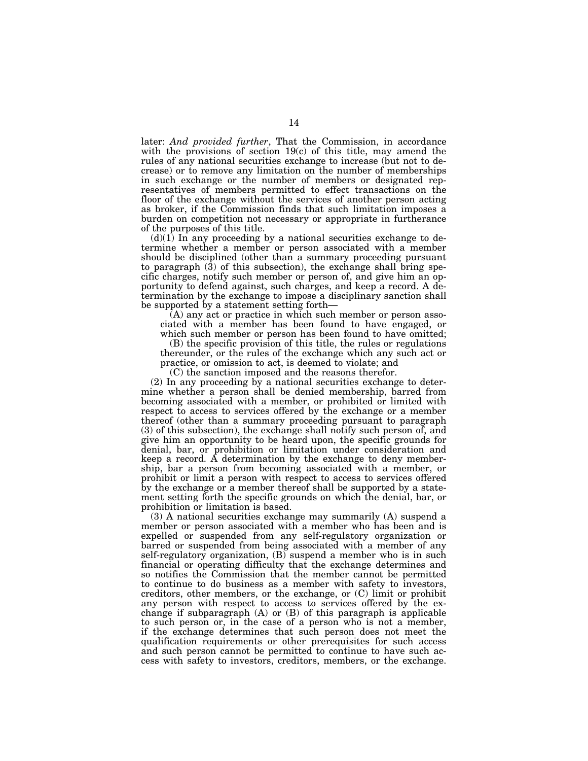later: *And provided further*, That the Commission, in accordance with the provisions of section  $19(c)$  of this title, may amend the rules of any national securities exchange to increase (but not to decrease) or to remove any limitation on the number of memberships in such exchange or the number of members or designated representatives of members permitted to effect transactions on the floor of the exchange without the services of another person acting as broker, if the Commission finds that such limitation imposes a burden on competition not necessary or appropriate in furtherance of the purposes of this title.

 $(d)(1)$  In any proceeding by a national securities exchange to determine whether a member or person associated with a member should be disciplined (other than a summary proceeding pursuant to paragraph  $(3)$  of this subsection), the exchange shall bring specific charges, notify such member or person of, and give him an opportunity to defend against, such charges, and keep a record. A determination by the exchange to impose a disciplinary sanction shall be supported by a statement setting forth—

(A) any act or practice in which such member or person associated with a member has been found to have engaged, or which such member or person has been found to have omitted;

(B) the specific provision of this title, the rules or regulations thereunder, or the rules of the exchange which any such act or practice, or omission to act, is deemed to violate; and

(C) the sanction imposed and the reasons therefor.

(2) In any proceeding by a national securities exchange to determine whether a person shall be denied membership, barred from becoming associated with a member, or prohibited or limited with respect to access to services offered by the exchange or a member thereof (other than a summary proceeding pursuant to paragraph (3) of this subsection), the exchange shall notify such person of, and give him an opportunity to be heard upon, the specific grounds for denial, bar, or prohibition or limitation under consideration and keep a record. A determination by the exchange to deny membership, bar a person from becoming associated with a member, or prohibit or limit a person with respect to access to services offered by the exchange or a member thereof shall be supported by a statement setting forth the specific grounds on which the denial, bar, or prohibition or limitation is based.

(3) A national securities exchange may summarily (A) suspend a member or person associated with a member who has been and is expelled or suspended from any self-regulatory organization or barred or suspended from being associated with a member of any self-regulatory organization, (B) suspend a member who is in such financial or operating difficulty that the exchange determines and so notifies the Commission that the member cannot be permitted to continue to do business as a member with safety to investors, creditors, other members, or the exchange, or (C) limit or prohibit any person with respect to access to services offered by the exchange if subparagraph (A) or (B) of this paragraph is applicable to such person or, in the case of a person who is not a member, if the exchange determines that such person does not meet the qualification requirements or other prerequisites for such access and such person cannot be permitted to continue to have such access with safety to investors, creditors, members, or the exchange.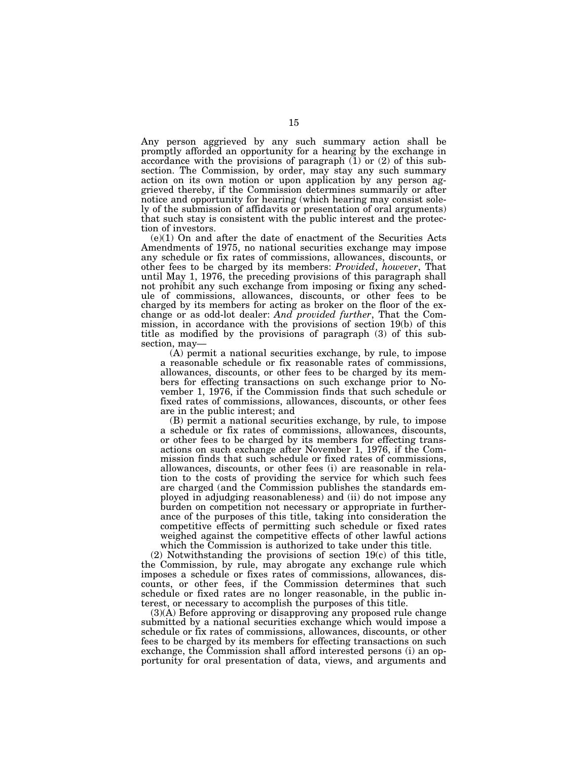Any person aggrieved by any such summary action shall be promptly afforded an opportunity for a hearing by the exchange in accordance with the provisions of paragraph  $(1)$  or  $(2)$  of this subsection. The Commission, by order, may stay any such summary action on its own motion or upon application by any person aggrieved thereby, if the Commission determines summarily or after notice and opportunity for hearing (which hearing may consist solely of the submission of affidavits or presentation of oral arguments) that such stay is consistent with the public interest and the protection of investors.

(e)(1) On and after the date of enactment of the Securities Acts Amendments of 1975, no national securities exchange may impose any schedule or fix rates of commissions, allowances, discounts, or other fees to be charged by its members: *Provided*, *however*, That until May 1, 1976, the preceding provisions of this paragraph shall not prohibit any such exchange from imposing or fixing any schedule of commissions, allowances, discounts, or other fees to be charged by its members for acting as broker on the floor of the exchange or as odd-lot dealer: *And provided further*, That the Commission, in accordance with the provisions of section 19(b) of this title as modified by the provisions of paragraph (3) of this subsection, may—

(A) permit a national securities exchange, by rule, to impose a reasonable schedule or fix reasonable rates of commissions, allowances, discounts, or other fees to be charged by its members for effecting transactions on such exchange prior to November 1, 1976, if the Commission finds that such schedule or fixed rates of commissions, allowances, discounts, or other fees are in the public interest; and

(B) permit a national securities exchange, by rule, to impose a schedule or fix rates of commissions, allowances, discounts, or other fees to be charged by its members for effecting transactions on such exchange after November 1, 1976, if the Commission finds that such schedule or fixed rates of commissions, allowances, discounts, or other fees (i) are reasonable in relation to the costs of providing the service for which such fees are charged (and the Commission publishes the standards employed in adjudging reasonableness) and (ii) do not impose any burden on competition not necessary or appropriate in furtherance of the purposes of this title, taking into consideration the competitive effects of permitting such schedule or fixed rates weighed against the competitive effects of other lawful actions which the Commission is authorized to take under this title.

(2) Notwithstanding the provisions of section 19(c) of this title, the Commission, by rule, may abrogate any exchange rule which imposes a schedule or fixes rates of commissions, allowances, discounts, or other fees, if the Commission determines that such schedule or fixed rates are no longer reasonable, in the public interest, or necessary to accomplish the purposes of this title.

(3)(A) Before approving or disapproving any proposed rule change submitted by a national securities exchange which would impose a schedule or fix rates of commissions, allowances, discounts, or other fees to be charged by its members for effecting transactions on such exchange, the Commission shall afford interested persons (i) an opportunity for oral presentation of data, views, and arguments and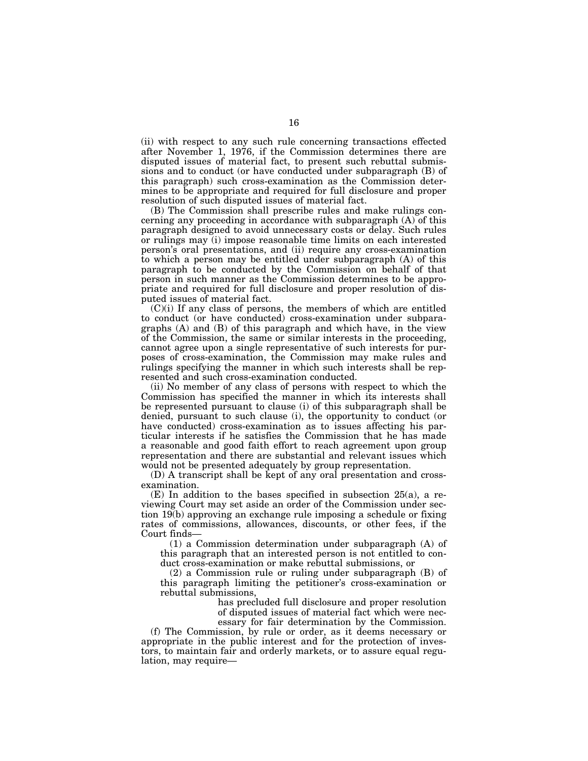(ii) with respect to any such rule concerning transactions effected after November 1, 1976, if the Commission determines there are disputed issues of material fact, to present such rebuttal submissions and to conduct (or have conducted under subparagraph (B) of this paragraph) such cross-examination as the Commission determines to be appropriate and required for full disclosure and proper resolution of such disputed issues of material fact.

(B) The Commission shall prescribe rules and make rulings concerning any proceeding in accordance with subparagraph (A) of this paragraph designed to avoid unnecessary costs or delay. Such rules or rulings may (i) impose reasonable time limits on each interested person's oral presentations, and (ii) require any cross-examination to which a person may be entitled under subparagraph (A) of this paragraph to be conducted by the Commission on behalf of that person in such manner as the Commission determines to be appropriate and required for full disclosure and proper resolution of disputed issues of material fact.

(C)(i) If any class of persons, the members of which are entitled to conduct (or have conducted) cross-examination under subparagraphs (A) and (B) of this paragraph and which have, in the view of the Commission, the same or similar interests in the proceeding, cannot agree upon a single representative of such interests for purposes of cross-examination, the Commission may make rules and rulings specifying the manner in which such interests shall be represented and such cross-examination conducted.

(ii) No member of any class of persons with respect to which the Commission has specified the manner in which its interests shall be represented pursuant to clause (i) of this subparagraph shall be denied, pursuant to such clause (i), the opportunity to conduct (or have conducted) cross-examination as to issues affecting his particular interests if he satisfies the Commission that he has made a reasonable and good faith effort to reach agreement upon group representation and there are substantial and relevant issues which would not be presented adequately by group representation.

(D) A transcript shall be kept of any oral presentation and crossexamination.

(E) In addition to the bases specified in subsection 25(a), a reviewing Court may set aside an order of the Commission under section 19(b) approving an exchange rule imposing a schedule or fixing rates of commissions, allowances, discounts, or other fees, if the Court finds—

(1) a Commission determination under subparagraph (A) of this paragraph that an interested person is not entitled to conduct cross-examination or make rebuttal submissions, or

(2) a Commission rule or ruling under subparagraph (B) of this paragraph limiting the petitioner's cross-examination or rebuttal submissions,

> has precluded full disclosure and proper resolution of disputed issues of material fact which were necessary for fair determination by the Commission.

(f) The Commission, by rule or order, as it deems necessary or appropriate in the public interest and for the protection of investors, to maintain fair and orderly markets, or to assure equal regulation, may require—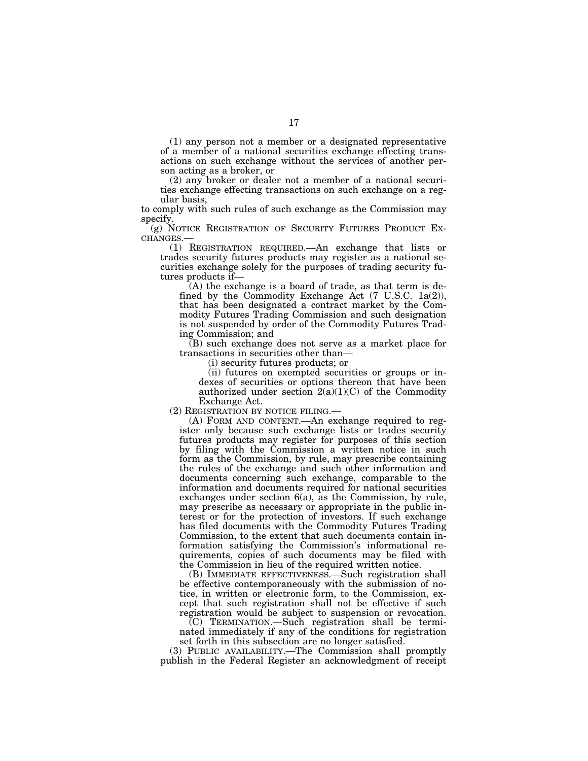(1) any person not a member or a designated representative of a member of a national securities exchange effecting transactions on such exchange without the services of another person acting as a broker, or

(2) any broker or dealer not a member of a national securities exchange effecting transactions on such exchange on a regular basis,

to comply with such rules of such exchange as the Commission may specify.<br>(g) NOTICE REGISTRATION OF SECURITY FUTURES PRODUCT EX-

CHANGES.—<br>
(1) REGISTRATION REQUIRED.—An exchange that lists or

trades security futures products may register as a national securities exchange solely for the purposes of trading security futures products if—

(A) the exchange is a board of trade, as that term is defined by the Commodity Exchange Act (7 U.S.C. 1a(2)), that has been designated a contract market by the Commodity Futures Trading Commission and such designation is not suspended by order of the Commodity Futures Trading Commission; and

(B) such exchange does not serve as a market place for transactions in securities other than—

(i) security futures products; or

(ii) futures on exempted securities or groups or indexes of securities or options thereon that have been authorized under section  $2(a)(1)(C)$  of the Commodity Exchange Act.<br>(2) REGISTRATION BY NOTICE FILING.—

 $(A)$  FORM AND CONTENT.—An exchange required to register only because such exchange lists or trades security futures products may register for purposes of this section by filing with the Commission a written notice in such form as the Commission, by rule, may prescribe containing the rules of the exchange and such other information and documents concerning such exchange, comparable to the information and documents required for national securities exchanges under section 6(a), as the Commission, by rule, may prescribe as necessary or appropriate in the public interest or for the protection of investors. If such exchange has filed documents with the Commodity Futures Trading Commission, to the extent that such documents contain information satisfying the Commission's informational requirements, copies of such documents may be filed with the Commission in lieu of the required written notice.

(B) IMMEDIATE EFFECTIVENESS.—Such registration shall be effective contemporaneously with the submission of notice, in written or electronic form, to the Commission, except that such registration shall not be effective if such registration would be subject to suspension or revocation.

(C) TERMINATION.—Such registration shall be terminated immediately if any of the conditions for registration set forth in this subsection are no longer satisfied.

(3) PUBLIC AVAILABILITY.—The Commission shall promptly publish in the Federal Register an acknowledgment of receipt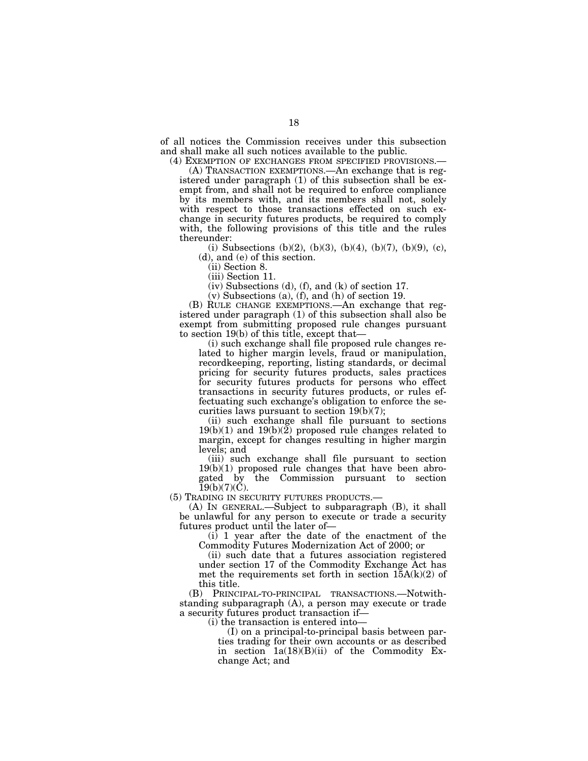of all notices the Commission receives under this subsection and shall make all such notices available to the public.

(4) EXEMPTION OF EXCHANGES FROM SPECIFIED PROVISIONS.— (A) TRANSACTION EXEMPTIONS.—An exchange that is registered under paragraph (1) of this subsection shall be exempt from, and shall not be required to enforce compliance by its members with, and its members shall not, solely with respect to those transactions effected on such exchange in security futures products, be required to comply with, the following provisions of this title and the rules thereunder:

(i) Subsections (b)(2), (b)(3), (b)(4), (b)(7), (b)(9), (c), (d), and (e) of this section.

(ii) Section 8.

(iii) Section 11.

 $(iv)$  Subsections  $(d)$ ,  $(f)$ , and  $(k)$  of section 17.

(v) Subsections (a), (f), and (h) of section 19.

(B) RULE CHANGE EXEMPTIONS.—An exchange that registered under paragraph (1) of this subsection shall also be exempt from submitting proposed rule changes pursuant to section 19(b) of this title, except that—

(i) such exchange shall file proposed rule changes related to higher margin levels, fraud or manipulation, recordkeeping, reporting, listing standards, or decimal pricing for security futures products, sales practices for security futures products for persons who effect transactions in security futures products, or rules effectuating such exchange's obligation to enforce the securities laws pursuant to section  $19(b)(7)$ ;

(ii) such exchange shall file pursuant to sections  $19(b)(1)$  and  $19(b)(2)$  proposed rule changes related to margin, except for changes resulting in higher margin levels; and

(iii) such exchange shall file pursuant to section  $19(b)(1)$  proposed rule changes that have been abro-<br>gated by the Commission pursuant to section the Commission pursuant to section

 $\overline{19(b)(7)(C)}$ .<br>(5) TRADING IN SECURITY FUTURES PRODUCTS.—

 $(A)$  In GENERAL.—Subject to subparagraph  $(B)$ , it shall be unlawful for any person to execute or trade a security futures product until the later of-

(i) 1 year after the date of the enactment of the Commodity Futures Modernization Act of 2000; or

(ii) such date that a futures association registered under section 17 of the Commodity Exchange Act has met the requirements set forth in section  $15A(k)(2)$  of this title.

(B) PRINCIPAL-TO-PRINCIPAL TRANSACTIONS.—Notwithstanding subparagraph (A), a person may execute or trade a security futures product transaction if—

(i) the transaction is entered into—

(I) on a principal-to-principal basis between parties trading for their own accounts or as described in section  $1a(18)(B)(ii)$  of the Commodity Exchange Act; and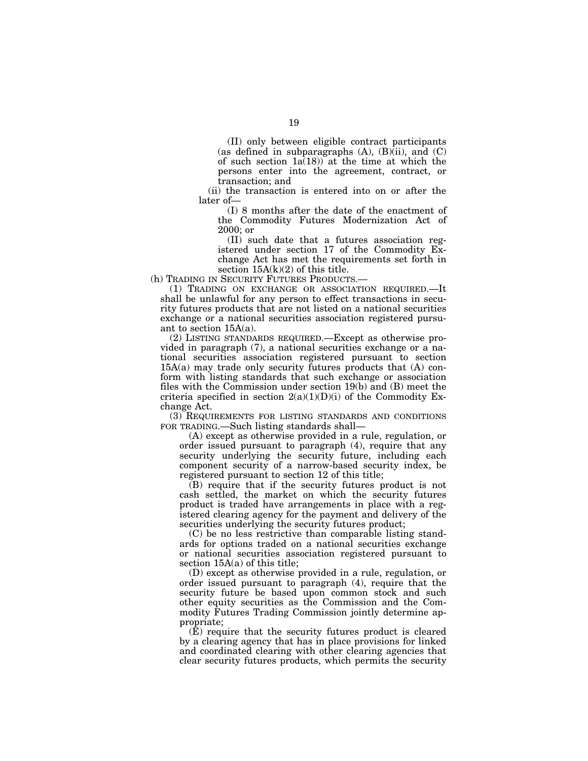(II) only between eligible contract participants (as defined in subparagraphs  $(A)$ ,  $(B)(ii)$ , and  $(C)$ of such section  $1a(18)$  at the time at which the persons enter into the agreement, contract, or transaction; and

(ii) the transaction is entered into on or after the later of—

(I) 8 months after the date of the enactment of the Commodity Futures Modernization Act of 2000; or

(II) such date that a futures association registered under section 17 of the Commodity Exchange Act has met the requirements set forth in section 15A(k)(2) of this title.

(h) TRADING IN SECURITY FUTURES PRODUCTS.—

(1) TRADING ON EXCHANGE OR ASSOCIATION REQUIRED.—It shall be unlawful for any person to effect transactions in security futures products that are not listed on a national securities exchange or a national securities association registered pursuant to section 15A(a).

(2) LISTING STANDARDS REQUIRED.—Except as otherwise provided in paragraph (7), a national securities exchange or a national securities association registered pursuant to section 15A(a) may trade only security futures products that (A) conform with listing standards that such exchange or association files with the Commission under section 19(b) and (B) meet the criteria specified in section  $2(a)(1)(D)(i)$  of the Commodity Exchange Act.

(3) REQUIREMENTS FOR LISTING STANDARDS AND CONDITIONS FOR TRADING.—Such listing standards shall—

(A) except as otherwise provided in a rule, regulation, or order issued pursuant to paragraph (4), require that any security underlying the security future, including each component security of a narrow-based security index, be registered pursuant to section 12 of this title;

(B) require that if the security futures product is not cash settled, the market on which the security futures product is traded have arrangements in place with a registered clearing agency for the payment and delivery of the securities underlying the security futures product;

(C) be no less restrictive than comparable listing standards for options traded on a national securities exchange or national securities association registered pursuant to section 15A(a) of this title;

(D) except as otherwise provided in a rule, regulation, or order issued pursuant to paragraph (4), require that the security future be based upon common stock and such other equity securities as the Commission and the Commodity Futures Trading Commission jointly determine appropriate;

(E) require that the security futures product is cleared by a clearing agency that has in place provisions for linked and coordinated clearing with other clearing agencies that clear security futures products, which permits the security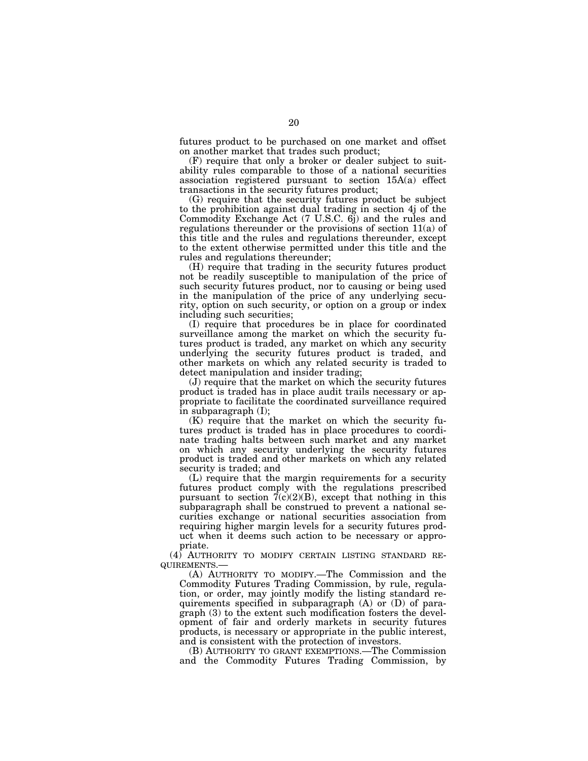futures product to be purchased on one market and offset on another market that trades such product;

(F) require that only a broker or dealer subject to suitability rules comparable to those of a national securities association registered pursuant to section 15A(a) effect transactions in the security futures product;

(G) require that the security futures product be subject to the prohibition against dual trading in section 4j of the Commodity Exchange Act (7 U.S.C. 6j) and the rules and regulations thereunder or the provisions of section 11(a) of this title and the rules and regulations thereunder, except to the extent otherwise permitted under this title and the rules and regulations thereunder;

(H) require that trading in the security futures product not be readily susceptible to manipulation of the price of such security futures product, nor to causing or being used in the manipulation of the price of any underlying security, option on such security, or option on a group or index including such securities;

(I) require that procedures be in place for coordinated surveillance among the market on which the security futures product is traded, any market on which any security underlying the security futures product is traded, and other markets on which any related security is traded to detect manipulation and insider trading;

(J) require that the market on which the security futures product is traded has in place audit trails necessary or appropriate to facilitate the coordinated surveillance required in subparagraph (I);

(K) require that the market on which the security futures product is traded has in place procedures to coordinate trading halts between such market and any market on which any security underlying the security futures product is traded and other markets on which any related security is traded; and

(L) require that the margin requirements for a security futures product comply with the regulations prescribed pursuant to section  $\overline{T}(c)(2)(B)$ , except that nothing in this subparagraph shall be construed to prevent a national securities exchange or national securities association from requiring higher margin levels for a security futures product when it deems such action to be necessary or appropriate.

(4) AUTHORITY TO MODIFY CERTAIN LISTING STANDARD RE-QUIREMENTS.—

(A) AUTHORITY TO MODIFY.—The Commission and the Commodity Futures Trading Commission, by rule, regulation, or order, may jointly modify the listing standard requirements specified in subparagraph (A) or (D) of paragraph (3) to the extent such modification fosters the development of fair and orderly markets in security futures products, is necessary or appropriate in the public interest, and is consistent with the protection of investors.

(B) AUTHORITY TO GRANT EXEMPTIONS.—The Commission and the Commodity Futures Trading Commission, by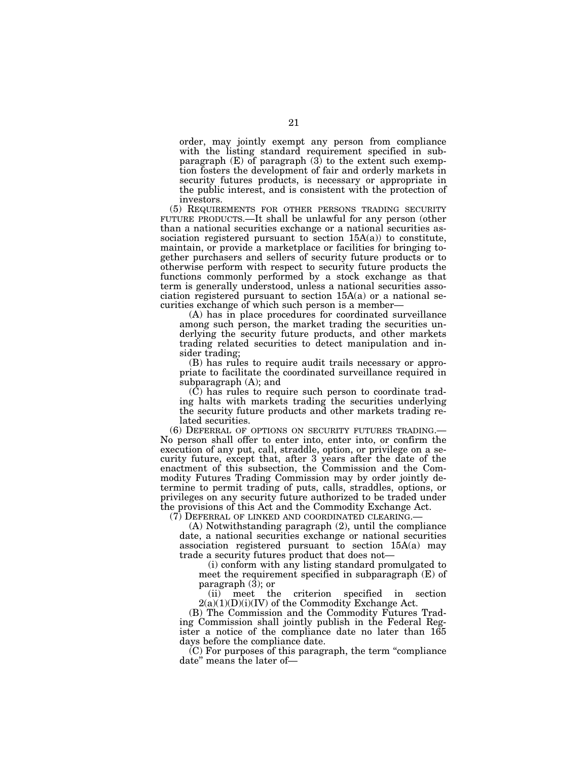order, may jointly exempt any person from compliance with the listing standard requirement specified in subparagraph (E) of paragraph (3) to the extent such exemption fosters the development of fair and orderly markets in security futures products, is necessary or appropriate in the public interest, and is consistent with the protection of investors.

(5) REQUIREMENTS FOR OTHER PERSONS TRADING SECURITY FUTURE PRODUCTS.—It shall be unlawful for any person (other than a national securities exchange or a national securities association registered pursuant to section  $15A(a)$  to constitute, maintain, or provide a marketplace or facilities for bringing together purchasers and sellers of security future products or to otherwise perform with respect to security future products the functions commonly performed by a stock exchange as that term is generally understood, unless a national securities association registered pursuant to section 15A(a) or a national securities exchange of which such person is a member—

(A) has in place procedures for coordinated surveillance among such person, the market trading the securities underlying the security future products, and other markets trading related securities to detect manipulation and insider trading;

(B) has rules to require audit trails necessary or appropriate to facilitate the coordinated surveillance required in subparagraph (A); and

(C) has rules to require such person to coordinate trading halts with markets trading the securities underlying the security future products and other markets trading related securities.

(6) DEFERRAL OF OPTIONS ON SECURITY FUTURES TRADING.— No person shall offer to enter into, enter into, or confirm the execution of any put, call, straddle, option, or privilege on a security future, except that, after 3 years after the date of the enactment of this subsection, the Commission and the Commodity Futures Trading Commission may by order jointly determine to permit trading of puts, calls, straddles, options, or privileges on any security future authorized to be traded under the provisions of this Act and the Commodity Exchange Act.

(7) DEFERRAL OF LINKED AND COORDINATED CLEARING.—

(A) Notwithstanding paragraph (2), until the compliance date, a national securities exchange or national securities association registered pursuant to section 15A(a) may trade a security futures product that does not—

(i) conform with any listing standard promulgated to meet the requirement specified in subparagraph (E) of paragraph (3); or

(ii) meet the criterion specified in section  $2(a)(1)(D)(i)(IV)$  of the Commodity Exchange Act.

(B) The Commission and the Commodity Futures Trading Commission shall jointly publish in the Federal Register a notice of the compliance date no later than 165 days before the compliance date.

(C) For purposes of this paragraph, the term ''compliance date'' means the later of—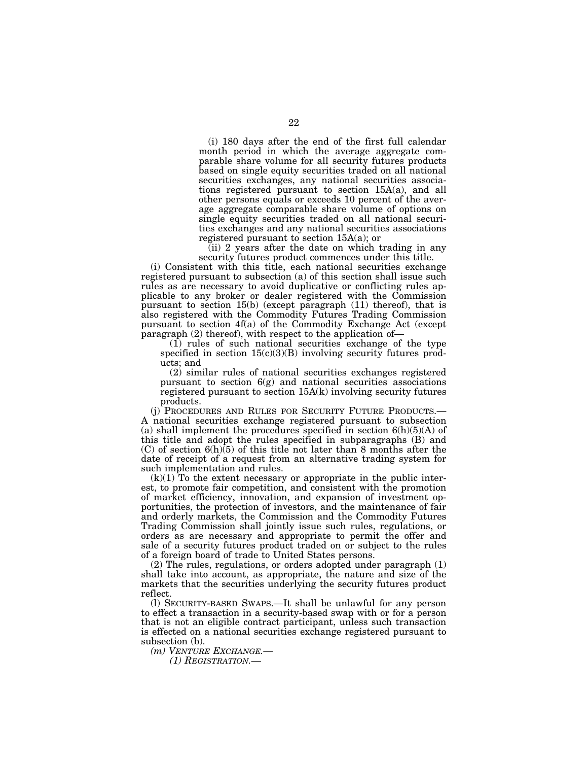(i) 180 days after the end of the first full calendar month period in which the average aggregate comparable share volume for all security futures products based on single equity securities traded on all national securities exchanges, any national securities associations registered pursuant to section 15A(a), and all other persons equals or exceeds 10 percent of the average aggregate comparable share volume of options on single equity securities traded on all national securities exchanges and any national securities associations registered pursuant to section 15A(a); or

(ii) 2 years after the date on which trading in any security futures product commences under this title.

(i) Consistent with this title, each national securities exchange registered pursuant to subsection (a) of this section shall issue such rules as are necessary to avoid duplicative or conflicting rules applicable to any broker or dealer registered with the Commission pursuant to section 15(b) (except paragraph (11) thereof), that is also registered with the Commodity Futures Trading Commission pursuant to section 4f(a) of the Commodity Exchange Act (except paragraph (2) thereof), with respect to the application of—

(1) rules of such national securities exchange of the type specified in section  $15(c)(3)(B)$  involving security futures products; and

(2) similar rules of national securities exchanges registered pursuant to section  $6(g)$  and national securities associations registered pursuant to section 15A(k) involving security futures products.<br>(j) Procedures and Rules for Security Future Products.—

(j) PROCEDURES AND RULES FOR SECURITY FUTURE PRODUCTS.— A national securities exchange registered pursuant to subsection (a) shall implement the procedures specified in section  $6(h)(5)(A)$  of this title and adopt the rules specified in subparagraphs (B) and  $(C)$  of section  $6(h)\overline{(5)}$  of this title not later than 8 months after the date of receipt of a request from an alternative trading system for such implementation and rules.

 $(k)(1)$  To the extent necessary or appropriate in the public interest, to promote fair competition, and consistent with the promotion of market efficiency, innovation, and expansion of investment opportunities, the protection of investors, and the maintenance of fair and orderly markets, the Commission and the Commodity Futures Trading Commission shall jointly issue such rules, regulations, or orders as are necessary and appropriate to permit the offer and sale of a security futures product traded on or subject to the rules of a foreign board of trade to United States persons.

(2) The rules, regulations, or orders adopted under paragraph (1) shall take into account, as appropriate, the nature and size of the markets that the securities underlying the security futures product reflect.

(l) SECURITY-BASED SWAPS.—It shall be unlawful for any person to effect a transaction in a security-based swap with or for a person that is not an eligible contract participant, unless such transaction is effected on a national securities exchange registered pursuant to subsection (b).

*(m) VENTURE EXCHANGE.—* 

*(1) REGISTRATION.—*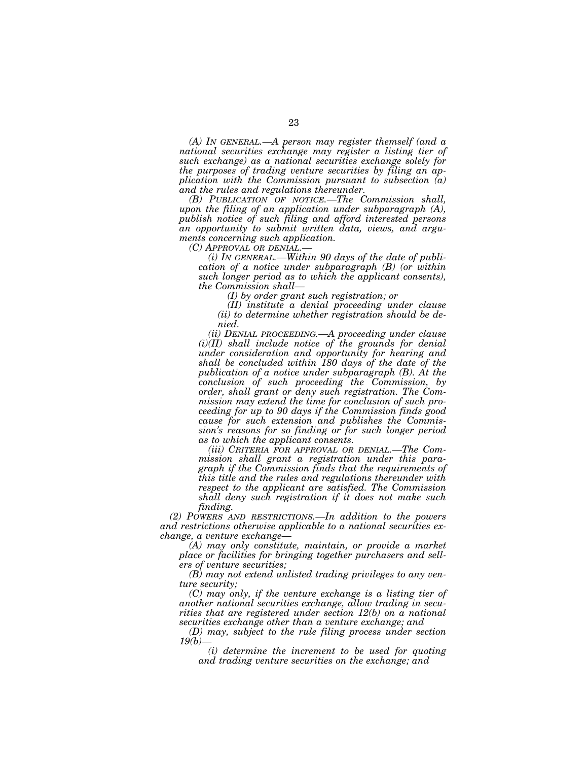*(A) IN GENERAL.—A person may register themself (and a national securities exchange may register a listing tier of such exchange) as a national securities exchange solely for the purposes of trading venture securities by filing an application with the Commission pursuant to subsection (a) and the rules and regulations thereunder.* 

*(B) PUBLICATION OF NOTICE.—The Commission shall, upon the filing of an application under subparagraph (A), publish notice of such filing and afford interested persons an opportunity to submit written data, views, and arguments concerning such application.* 

*(C) APPROVAL OR DENIAL.— (i) IN GENERAL.—Within 90 days of the date of publication of a notice under subparagraph (B) (or within such longer period as to which the applicant consents), the Commission shall—* 

*(I) by order grant such registration; or* 

*(II) institute a denial proceeding under clause (ii) to determine whether registration should be denied.* 

*(ii) DENIAL PROCEEDING.—A proceeding under clause (i)(II) shall include notice of the grounds for denial under consideration and opportunity for hearing and shall be concluded within 180 days of the date of the publication of a notice under subparagraph (B). At the conclusion of such proceeding the Commission, by order, shall grant or deny such registration. The Commission may extend the time for conclusion of such proceeding for up to 90 days if the Commission finds good cause for such extension and publishes the Commission's reasons for so finding or for such longer period as to which the applicant consents.* 

*(iii) CRITERIA FOR APPROVAL OR DENIAL.—The Commission shall grant a registration under this paragraph if the Commission finds that the requirements of this title and the rules and regulations thereunder with respect to the applicant are satisfied. The Commission shall deny such registration if it does not make such finding.* 

*(2) POWERS AND RESTRICTIONS.—In addition to the powers and restrictions otherwise applicable to a national securities exchange, a venture exchange—* 

*(A) may only constitute, maintain, or provide a market place or facilities for bringing together purchasers and sellers of venture securities;* 

*(B) may not extend unlisted trading privileges to any venture security;* 

*(C) may only, if the venture exchange is a listing tier of another national securities exchange, allow trading in securities that are registered under section 12(b) on a national securities exchange other than a venture exchange; and* 

*(D) may, subject to the rule filing process under section 19(b)—* 

*(i) determine the increment to be used for quoting and trading venture securities on the exchange; and*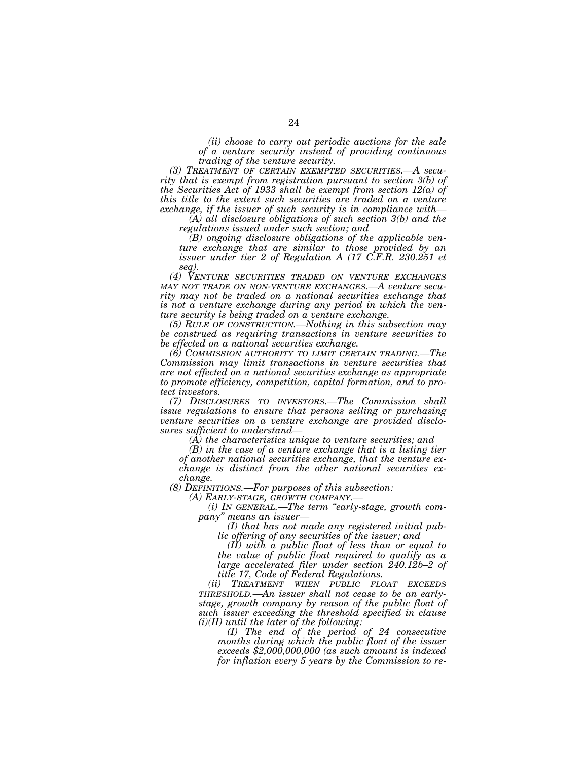*(ii) choose to carry out periodic auctions for the sale of a venture security instead of providing continuous trading of the venture security.* 

*(3) TREATMENT OF CERTAIN EXEMPTED SECURITIES.—A security that is exempt from registration pursuant to section 3(b) of the Securities Act of 1933 shall be exempt from section 12(a) of this title to the extent such securities are traded on a venture exchange, if the issuer of such security is in compliance with—* 

*(A) all disclosure obligations of such section 3(b) and the regulations issued under such section; and* 

*(B) ongoing disclosure obligations of the applicable venture exchange that are similar to those provided by an issuer under tier 2 of Regulation A (17 C.F.R. 230.251 et seq).* 

*(4) VENTURE SECURITIES TRADED ON VENTURE EXCHANGES MAY NOT TRADE ON NON-VENTURE EXCHANGES.—A venture security may not be traded on a national securities exchange that is not a venture exchange during any period in which the venture security is being traded on a venture exchange.* 

*(5) RULE OF CONSTRUCTION.—Nothing in this subsection may be construed as requiring transactions in venture securities to be effected on a national securities exchange.* 

*(6) COMMISSION AUTHORITY TO LIMIT CERTAIN TRADING.—The Commission may limit transactions in venture securities that are not effected on a national securities exchange as appropriate to promote efficiency, competition, capital formation, and to protect investors.* 

*(7) DISCLOSURES TO INVESTORS.—The Commission shall issue regulations to ensure that persons selling or purchasing venture securities on a venture exchange are provided disclosures sufficient to understand—* 

*(A) the characteristics unique to venture securities; and* 

*(B) in the case of a venture exchange that is a listing tier of another national securities exchange, that the venture exchange is distinct from the other national securities exchange.* 

*(8) DEFINITIONS.—For purposes of this subsection:* 

*(i) IN GENERAL.—The term "early-stage, growth company'' means an issuer—* 

*(I) that has not made any registered initial public offering of any securities of the issuer; and* 

*(II) with a public float of less than or equal to the value of public float required to qualify as a large accelerated filer under section 240.12b–2 of title 17, Code of Federal Regulations.* 

*(ii) TREATMENT WHEN PUBLIC FLOAT EXCEEDS THRESHOLD.—An issuer shall not cease to be an earlystage, growth company by reason of the public float of such issuer exceeding the threshold specified in clause (i)(II) until the later of the following:* 

*(I) The end of the period of 24 consecutive months during which the public float of the issuer exceeds \$2,000,000,000 (as such amount is indexed for inflation every 5 years by the Commission to re-*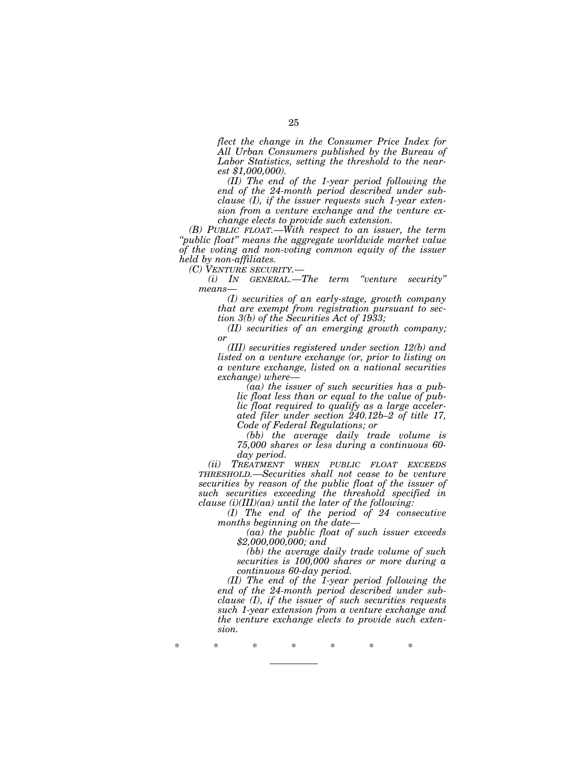*flect the change in the Consumer Price Index for All Urban Consumers published by the Bureau of Labor Statistics, setting the threshold to the nearest \$1,000,000).* 

*(II) The end of the 1-year period following the end of the 24-month period described under subclause (I), if the issuer requests such 1-year extension from a venture exchange and the venture exchange elects to provide such extension.* 

*(B) PUBLIC FLOAT.—With respect to an issuer, the term ''public float'' means the aggregate worldwide market value of the voting and non-voting common equity of the issuer held by non-affiliates.* 

*(C) VENTURE SECURITY.—* 

*(i) IN GENERAL.—The term ''venture security'' means—* 

*(I) securities of an early-stage, growth company that are exempt from registration pursuant to section 3(b) of the Securities Act of 1933;* 

*(II) securities of an emerging growth company; or* 

*(III) securities registered under section 12(b) and listed on a venture exchange (or, prior to listing on a venture exchange, listed on a national securities exchange) where—* 

*(aa) the issuer of such securities has a public float less than or equal to the value of public float required to qualify as a large accelerated filer under section 240.12b–2 of title 17, Code of Federal Regulations; or* 

*(bb) the average daily trade volume is 75,000 shares or less during a continuous 60 day period.* 

*(ii) TREATMENT WHEN PUBLIC FLOAT EXCEEDS THRESHOLD.—Securities shall not cease to be venture securities by reason of the public float of the issuer of such securities exceeding the threshold specified in clause (i)(III)(aa) until the later of the following:* 

*(I) The end of the period of 24 consecutive months beginning on the date—* 

*(aa) the public float of such issuer exceeds \$2,000,000,000; and* 

*(bb) the average daily trade volume of such securities is 100,000 shares or more during a continuous 60-day period.* 

*(II) The end of the 1-year period following the end of the 24-month period described under subclause (I), if the issuer of such securities requests such 1-year extension from a venture exchange and the venture exchange elects to provide such extension.* 

\* \* \* \* \* \* \*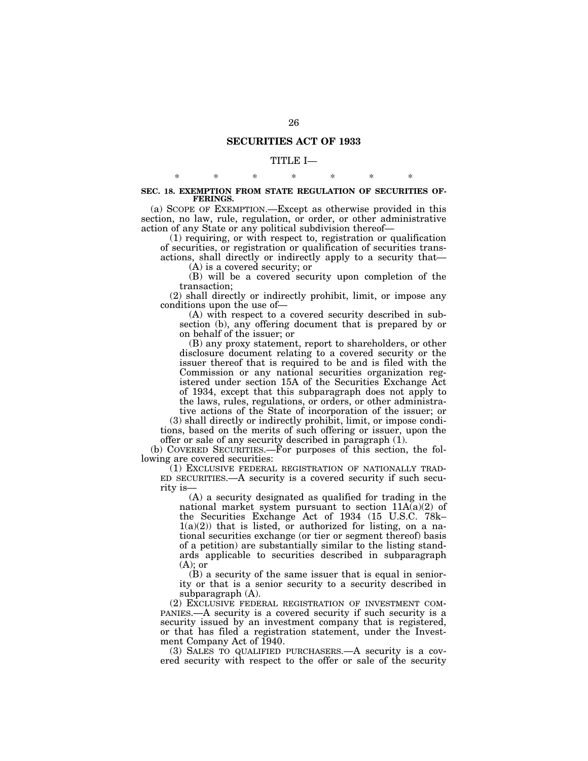# **SECURITIES ACT OF 1933**

#### TITLE I—

# \* \* \* \* \* \* \* **SEC. 18. EXEMPTION FROM STATE REGULATION OF SECURITIES OF-FERINGS.**

(a) SCOPE OF EXEMPTION.—Except as otherwise provided in this section, no law, rule, regulation, or order, or other administrative action of any State or any political subdivision thereof—

(1) requiring, or with respect to, registration or qualification of securities, or registration or qualification of securities transactions, shall directly or indirectly apply to a security that—

(A) is a covered security; or

(B) will be a covered security upon completion of the transaction;

(2) shall directly or indirectly prohibit, limit, or impose any conditions upon the use of—

(A) with respect to a covered security described in subsection (b), any offering document that is prepared by or on behalf of the issuer; or

(B) any proxy statement, report to shareholders, or other disclosure document relating to a covered security or the issuer thereof that is required to be and is filed with the Commission or any national securities organization registered under section 15A of the Securities Exchange Act of 1934, except that this subparagraph does not apply to the laws, rules, regulations, or orders, or other administrative actions of the State of incorporation of the issuer; or

(3) shall directly or indirectly prohibit, limit, or impose conditions, based on the merits of such offering or issuer, upon the offer or sale of any security described in paragraph (1).

(b) COVERED SECURITIES.—For purposes of this section, the following are covered securities:

(1) EXCLUSIVE FEDERAL REGISTRATION OF NATIONALLY TRAD- ED SECURITIES.—A security is a covered security if such security is—

(A) a security designated as qualified for trading in the national market system pursuant to section  $11A(a)(2)$  of the Securities Exchange Act of 1934 (15 U.S.C. 78k–  $1(a)(2)$  that is listed, or authorized for listing, on a national securities exchange (or tier or segment thereof) basis of a petition) are substantially similar to the listing standards applicable to securities described in subparagraph  $(A)$ ; or

(B) a security of the same issuer that is equal in seniority or that is a senior security to a security described in subparagraph (A).<br>(2) EXCLUSIVE FEDERAL REGISTRATION OF INVESTMENT COM-

PANIES.—A security is a covered security if such security is a security issued by an investment company that is registered, or that has filed a registration statement, under the Investment Company Act of 1940.

(3) SALES TO QUALIFIED PURCHASERS.—A security is a covered security with respect to the offer or sale of the security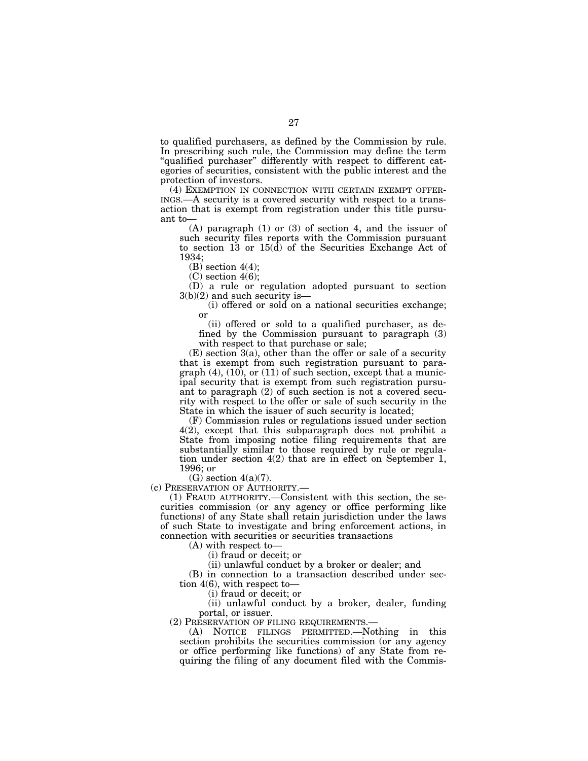to qualified purchasers, as defined by the Commission by rule. In prescribing such rule, the Commission may define the term "qualified purchaser" differently with respect to different categories of securities, consistent with the public interest and the protection of investors.<br>
(4) EXEMPTION IN CONNECTION WITH CERTAIN EXEMPT OFFER-

 $NGS$ .—A security is a covered security with respect to a transaction that is exempt from registration under this title pursuant to—

(A) paragraph (1) or (3) of section 4, and the issuer of such security files reports with the Commission pursuant to section  $13$  or  $15(d)$  of the Securities Exchange Act of 1934;

 $(B)$  section  $4(4)$ ;

 $(C)$  section  $4(6)$ :

(D) a rule or regulation adopted pursuant to section 3(b)(2) and such security is—

(i) offered or sold on a national securities exchange; or

(ii) offered or sold to a qualified purchaser, as defined by the Commission pursuant to paragraph (3) with respect to that purchase or sale;

 $(E)$  section  $3(a)$ , other than the offer or sale of a security that is exempt from such registration pursuant to paragraph  $(4)$ ,  $(10)$ , or  $(11)$  of such section, except that a municipal security that is exempt from such registration pursuant to paragraph (2) of such section is not a covered security with respect to the offer or sale of such security in the State in which the issuer of such security is located;

(F) Commission rules or regulations issued under section 4(2), except that this subparagraph does not prohibit a State from imposing notice filing requirements that are substantially similar to those required by rule or regulation under section 4(2) that are in effect on September 1, 1996; or

(G) section  $4(a)(7)$ .<br>(c) PRESERVATION OF AUTHORITY.—

 $(1)$  FRAUD AUTHORITY.—Consistent with this section, the securities commission (or any agency or office performing like functions) of any State shall retain jurisdiction under the laws of such State to investigate and bring enforcement actions, in connection with securities or securities transactions

(A) with respect to—

(i) fraud or deceit; or

(ii) unlawful conduct by a broker or dealer; and

(B) in connection to a transaction described under section 4(6), with respect to—

(i) fraud or deceit; or

(ii) unlawful conduct by a broker, dealer, funding portal, or issuer.

(2) PRESERVATION OF FILING REQUIREMENTS.—

(A) NOTICE FILINGS PERMITTED.—Nothing in this section prohibits the securities commission (or any agency or office performing like functions) of any State from requiring the filing of any document filed with the Commis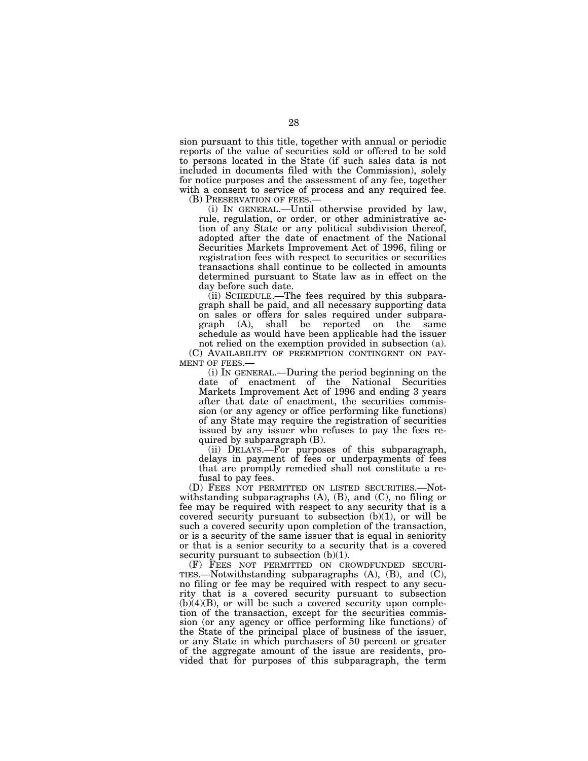sion pursuant to this title, together with annual or periodic reports of the value of securities sold or offered to be sold to persons located in the State (if such sales data is not included in documents filed with the Commission), solely for notice purposes and the assessment of any fee, together with a consent to service of process and any required fee.

(B) PRESERVATION OF FEES.— (i) IN GENERAL.—Until otherwise provided by law, rule, regulation, or order, or other administrative action of any State or any political subdivision thereof, adopted after the date of enactment of the National Securities Markets Improvement Act of 1996, filing or registration fees with respect to securities or securities transactions shall continue to be collected in amounts determined pursuant to State law as in effect on the day before such date.

(ii) SCHEDULE.—The fees required by this subparagraph shall be paid, and all necessary supporting data on sales or offers for sales required under subparagraph (A), shall be reported on the same schedule as would have been applicable had the issuer not relied on the exemption provided in subsection (a).

(C) AVAILABILITY OF PREEMPTION CONTINGENT ON PAY-<br>MENT OF FEES.—<br>(i) IN GENERAL.—During the period beginning on the

date of enactment of the National Securities Markets Improvement Act of 1996 and ending 3 years after that date of enactment, the securities commission (or any agency or office performing like functions) of any State may require the registration of securities issued by any issuer who refuses to pay the fees required by subparagraph (B).

(ii) DELAYS.—For purposes of this subparagraph, delays in payment of fees or underpayments of fees that are promptly remedied shall not constitute a refusal to pay fees.

(D) FEES NOT PERMITTED ON LISTED SECURITIES.—Notwithstanding subparagraphs (A), (B), and (C), no filing or fee may be required with respect to any security that is a covered security pursuant to subsection  $(b)(1)$ , or will be such a covered security upon completion of the transaction, or is a security of the same issuer that is equal in seniority or that is a senior security to a security that is a covered security pursuant to subsection  $(b)(1)$ .

(F) FEES NOT PERMITTED ON CROWDFUNDED SECURI-TIES.—Notwithstanding subparagraphs (A), (B), and (C), no filing or fee may be required with respect to any security that is a covered security pursuant to subsection  $(b)(4)(B)$ , or will be such a covered security upon completion of the transaction, except for the securities commission (or any agency or office performing like functions) of the State of the principal place of business of the issuer, or any State in which purchasers of 50 percent or greater of the aggregate amount of the issue are residents, provided that for purposes of this subparagraph, the term